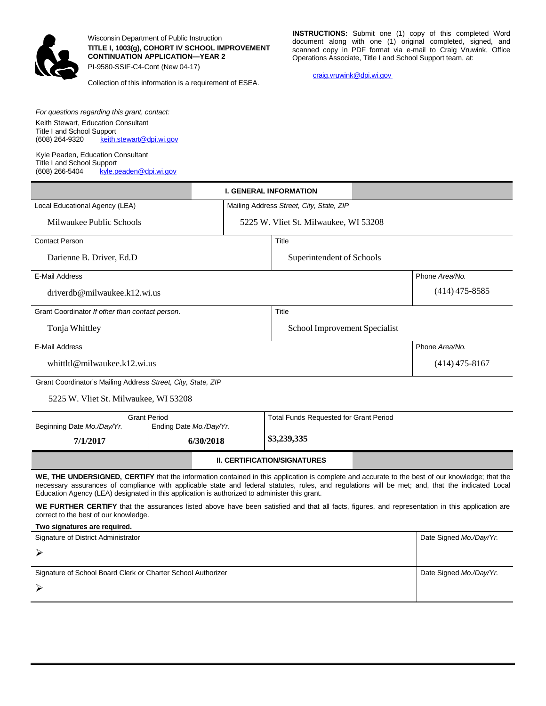

*For questions regarding this grant, contact:* Keith Stewart, Education Consultant

Kyle Peaden, Education Consultant

[keith.stewart@dpi.wi.gov](mailto:keith.stewart@dpi.wi.gov)

Title I and School Support<br>(608) 264-9320 keith.s

Title I and School Support

Wisconsin Department of Public Instruction **TITLE I, 1003(g), COHORT IV SCHOOL IMPROVEMENT CONTINUATION APPLICATION—YEAR 2** PI-9580-SSIF-C4-Cont (New 04-17)

Collection of this information is a requirement of ESEA.

**INSTRUCTIONS:** Submit one (1) copy of this completed Word document along with one (1) original completed, signed, and scanned copy in PDF format via e-mail to Craig Vruwink, Office Operations Associate, Title I and School Support team, at:

[craig.vruwink@dpi.wi.gov](mailto:craig.vruwink@dpi.wi.gov)

| The Faria Scribbi Support<br>(608) 266-5404<br>kyle.peaden@dpi.wi.gov                                                                                                                                                                                                                                                                                                                                |                          |                                               |                                       |                  |                  |
|------------------------------------------------------------------------------------------------------------------------------------------------------------------------------------------------------------------------------------------------------------------------------------------------------------------------------------------------------------------------------------------------------|--------------------------|-----------------------------------------------|---------------------------------------|------------------|------------------|
|                                                                                                                                                                                                                                                                                                                                                                                                      |                          |                                               | <b>I. GENERAL INFORMATION</b>         |                  |                  |
| Local Educational Agency (LEA)                                                                                                                                                                                                                                                                                                                                                                       |                          | Mailing Address Street, City, State, ZIP      |                                       |                  |                  |
| Milwaukee Public Schools                                                                                                                                                                                                                                                                                                                                                                             |                          |                                               | 5225 W. Vliet St. Milwaukee, WI 53208 |                  |                  |
| <b>Contact Person</b>                                                                                                                                                                                                                                                                                                                                                                                |                          |                                               | Title                                 |                  |                  |
| Darienne B. Driver, Ed.D.                                                                                                                                                                                                                                                                                                                                                                            |                          |                                               | Superintendent of Schools             |                  |                  |
| <b>E-Mail Address</b>                                                                                                                                                                                                                                                                                                                                                                                |                          |                                               |                                       |                  | Phone Area/No.   |
| driverdb@milwaukee.k12.wi.us                                                                                                                                                                                                                                                                                                                                                                         |                          |                                               |                                       |                  | $(414)$ 475-8585 |
| Grant Coordinator If other than contact person.                                                                                                                                                                                                                                                                                                                                                      |                          |                                               | Title                                 |                  |                  |
| Tonja Whittley                                                                                                                                                                                                                                                                                                                                                                                       |                          |                                               | School Improvement Specialist         |                  |                  |
| <b>E-Mail Address</b>                                                                                                                                                                                                                                                                                                                                                                                |                          |                                               |                                       |                  | Phone Area/No.   |
| whittltl@milwaukee.k12.wi.us                                                                                                                                                                                                                                                                                                                                                                         |                          |                                               |                                       | $(414)$ 475-8167 |                  |
| Grant Coordinator's Mailing Address Street, City, State, ZIP                                                                                                                                                                                                                                                                                                                                         |                          |                                               |                                       |                  |                  |
| 5225 W. Vliet St. Milwaukee, WI 53208                                                                                                                                                                                                                                                                                                                                                                |                          |                                               |                                       |                  |                  |
| <b>Grant Period</b><br>Ending Date Mo./Day/Yr.<br>Beginning Date Mo./Day/Yr.                                                                                                                                                                                                                                                                                                                         |                          | <b>Total Funds Requested for Grant Period</b> |                                       |                  |                  |
| 7/1/2017                                                                                                                                                                                                                                                                                                                                                                                             | \$3,239,335<br>6/30/2018 |                                               |                                       |                  |                  |
| <b>II. CERTIFICATION/SIGNATURES</b>                                                                                                                                                                                                                                                                                                                                                                  |                          |                                               |                                       |                  |                  |
| WE, THE UNDERSIGNED, CERTIFY that the information contained in this application is complete and accurate to the best of our knowledge; that the<br>necessary assurances of compliance with applicable state and federal statutes, rules, and regulations will be met; and, that the indicated Local<br>Education Agency (LEA) designated in this application is authorized to administer this grant. |                          |                                               |                                       |                  |                  |
| WE FURTHER CERTIFY that the assurances listed above have been satisfied and that all facts, figures, and representation in this application are<br>correct to the best of our knowledge.                                                                                                                                                                                                             |                          |                                               |                                       |                  |                  |
| Two signatures are required.                                                                                                                                                                                                                                                                                                                                                                         |                          |                                               |                                       |                  |                  |
| Signature of District Administrator                                                                                                                                                                                                                                                                                                                                                                  |                          |                                               | Date Signed Mo./Day/Yr.               |                  |                  |
| ⋗                                                                                                                                                                                                                                                                                                                                                                                                    |                          |                                               |                                       |                  |                  |
| Signature of School Board Clerk or Charter School Authorizer                                                                                                                                                                                                                                                                                                                                         |                          |                                               | Date Signed Mo./Day/Yr.               |                  |                  |
|                                                                                                                                                                                                                                                                                                                                                                                                      |                          |                                               |                                       |                  |                  |
|                                                                                                                                                                                                                                                                                                                                                                                                      |                          |                                               |                                       |                  |                  |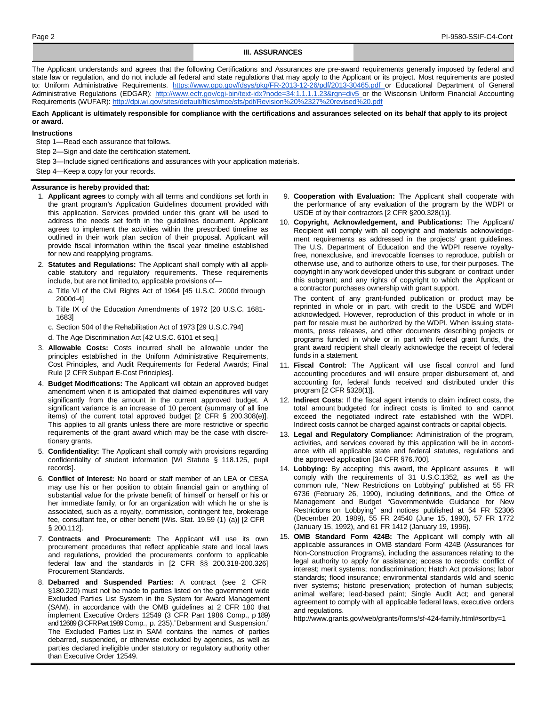#### **III. ASSURANCES**

The Applicant understands and agrees that the following Certifications and Assurances are pre-award requirements generally imposed by federal and state law or regulation, and do not include all federal and state regulations that may apply to the Applicant or its project. Most requirements are posted to: Uniform Administrative Requirements. <https://www.gpo.gov/fdsys/pkg/FR-2013-12-26/pdf/2013-30465.pdf> or Educational Department of General Administrative Regulations (EDGAR): [http://www.ecfr.gov/cgi-bin/text-idx?node=34:1.1.1.1.23&rgn=div5](http://www.ecfr.gov/cgi-bin/text-idx?node=34%3A1.1.1.1.23&rgn=div5) or the Wisconsin Uniform Financial Accounting Requirements (WUFAR): <http://dpi.wi.gov/sites/default/files/imce/sfs/pdf/Revision%20%2327%20revised%20.pdf>

Each Applicant is ultimately responsible for compliance with the certifications and assurances selected on its behalf that apply to its project **or award.**

#### **Instructions**

Step 1—Read each assurance that follows.

Step 2—Sign and date the certification statement.

Step 3—Include signed certifications and assurances with your application materials.

Step 4—Keep a copy for your records.

#### **Assurance is hereby provided that:**

- 1. **Applicant agrees** to comply with all terms and conditions set forth in the grant program's Application Guidelines document provided with this application. Services provided under this grant will be used to address the needs set forth in the guidelines document. Applicant agrees to implement the activities within the prescribed timeline as outlined in their work plan section of their proposal. Applicant will provide fiscal information within the fiscal year timeline established for new and reapplying programs.
- 2. **Statutes and Regulations:** The Applicant shall comply with all applicable statutory and regulatory requirements. These requirements include, but are not limited to, applicable provisions of
	- a. Title VI of the Civil Rights Act of 1964 [45 U.S.C. 2000d through 2000d-4]
	- b. Title IX of the Education Amendments of 1972 [20 U.S.C. 1681- 1683]
	- c. Section 504 of the Rehabilitation Act of 1973 [29 U.S.C.794]
	- d. The Age Discrimination Act [42 U.S.C. 6101 et seq.]
- 3. **Allowable Costs:** Costs incurred shall be allowable under the principles established in the Uniform Administrative Requirements, Cost Principles, and Audit Requirements for Federal Awards; Final Rule [2 CFR Subpart E-Cost Principles].
- 4. **Budget Modifications:** The Applicant will obtain an approved budget amendment when it is anticipated that claimed expenditures will vary significantly from the amount in the current approved budget. A significant variance is an increase of 10 percent (summary of all line items) of the current total approved budget [2 CFR § 200.308(e)]. This applies to all grants unless there are more restrictive or specific requirements of the grant award which may be the case with discretionary grants.
- 5. **Confidentiality:** The Applicant shall comply with provisions regarding confidentiality of student information [WI Statute § 118.125, pupil records].
- 6. **Conflict of Interest:** No board or staff member of an LEA or CESA may use his or her position to obtain financial gain or anything of substantial value for the private benefit of himself or herself or his or her immediate family, or for an organization with which he or she is associated, such as a royalty, commission, contingent fee, brokerage fee, consultant fee, or other benefit [Wis. Stat. 19.59 (1) (a)] [2 CFR § 200.112].
- 7. **Contracts and Procurement:** The Applicant will use its own procurement procedures that reflect applicable state and local laws and regulations, provided the procurements conform to applicable federal law and the standards in [2 CFR §§ 200.318-200.326] Procurement Standards.
- 8. **Debarred and Suspended Parties:** A contract (see 2 CFR §180.220) must not be made to parties listed on the government wide Excluded Parties List System in the System for Award Management (SAM), in accordance with the OMB guidelines at 2 CFR 180 that implement Executive Orders 12549 (3 CFR Part 1986 Comp., p 189) and 12689 (3 CFR Part 1989 Comp., p. 235),"Debarment and Suspension." The Excluded Parties List in SAM contains the names of parties debarred, suspended, or otherwise excluded by agencies, as well as parties declared ineligible under statutory or regulatory authority other than Executive Order 12549.
- 9. **Cooperation with Evaluation:** The Applicant shall cooperate with the performance of any evaluation of the program by the WDPI or USDE of by their contractors [2 CFR §200.328(1)].
- 10. **Copyright, Acknowledgement, and Publications:** The Applicant/ Recipient will comply with all copyright and materials acknowledgement requirements as addressed in the projects' grant guidelines. The U.S. Department of Education and the WDPI reserve royaltyfree, nonexclusive, and irrevocable licenses to reproduce, publish or otherwise use, and to authorize others to use, for their purposes. The copyright in any work developed under this subgrant or contract under this subgrant; and any rights of copyright to which the Applicant or a contractor purchases ownership with grant support.

The content of any grant-funded publication or product may be reprinted in whole or in part, with credit to the USDE and WDPI acknowledged. However, reproduction of this product in whole or in part for resale must be authorized by the WDPI. When issuing statements, press releases, and other documents describing projects or programs funded in whole or in part with federal grant funds, the grant award recipient shall clearly acknowledge the receipt of federal funds in a statement.

- 11. **Fiscal Control:** The Applicant will use fiscal control and fund accounting procedures and will ensure proper disbursement of, and accounting for, federal funds received and distributed under this program [2 CFR §328(1)].
- 12. **Indirect Costs**: If the fiscal agent intends to claim indirect costs, the total amount budgeted for indirect costs is limited to and cannot exceed the negotiated indirect rate established with the WDPI. Indirect costs cannot be charged against contracts or capital objects.
- 13. **Legal and Regulatory Compliance:** Administration of the program, activities, and services covered by this application will be in accordance with all applicable state and federal statutes, regulations and the approved application [34 CFR §76.700].
- 14. **Lobbying:** By accepting this award, the Applicant assures it will comply with the requirements of 31 U.S.C.1352, as well as the common rule, "New Restrictions on Lobbying" published at 55 FR 6736 (February 26, 1990), including definitions, and the Office of Management and Budget "Governmentwide Guidance for New Restrictions on Lobbying" and notices published at 54 FR 52306 (December 20, 1989), 55 FR 24540 (June 15, 1990), 57 FR 1772 (January 15, 1992), and 61 FR 1412 (January 19, 1996).
- 15. **OMB Standard Form 424B:** The Applicant will comply with all applicable assurances in OMB standard Form 424B (Assurances for Non-Construction Programs), including the assurances relating to the legal authority to apply for assistance; access to records; conflict of interest; merit systems; nondiscrimination; Hatch Act provisions; labor standards; flood insurance; environmental standards wild and scenic river systems; historic preservation; protection of human subjects; animal welfare; lead-based paint; Single Audit Act; and general agreement to comply with all applicable federal laws, executive orders and regulations.

[http://www.grants.gov/web/grants/forms/sf-424-family.html#sortby=1](http://www.grants.gov/web/grants/forms/sf-424-family.html#sortby%3D1)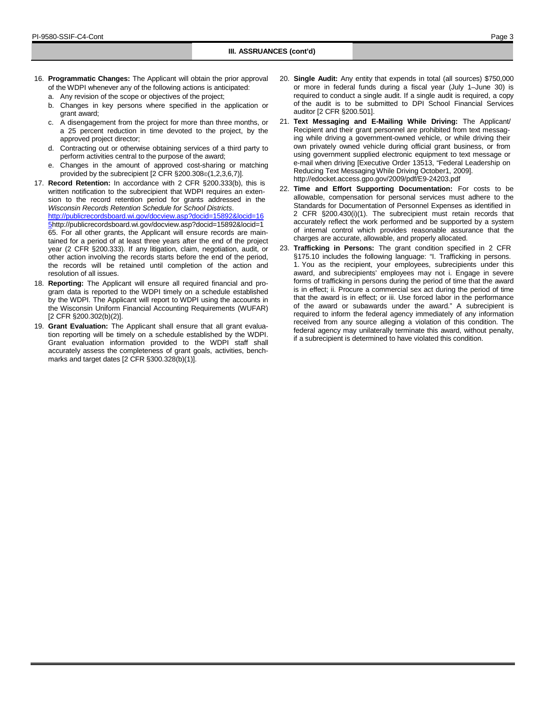- 16. **Programmatic Changes:** The Applicant will obtain the prior approval of the WDPI whenever any of the following actions is anticipated:
	- a. Any revision of the scope or objectives of the project;
	- b. Changes in key persons where specified in the application or grant award;
	- c. A disengagement from the project for more than three months, or a 25 percent reduction in time devoted to the project, by the approved project director;
	- d. Contracting out or otherwise obtaining services of a third party to perform activities central to the purpose of the award;
	- e. Changes in the amount of approved cost-sharing or matching provided by the subrecipient [2 CFR §200.308©(1,2,3,6,7)].
- 17. **Record Retention:** In accordance with 2 CFR §200.333(b), this is written notification to the subrecipient that WDPI requires an extension to the record retention period for grants addressed in the *Wisconsin Records Retention Schedule for School Districts*. [http://publicrecordsboard.wi.gov/docview.asp?docid=15892&locid=16](http://publicrecordsboard.wi.gov/docview.asp?docid=15892&locid=165) [5http://publicrecordsboard.wi.gov/docview.asp?docid=15892&locid=1](http://publicrecordsboard.wi.gov/docview.asp?docid=15892&locid=165) [65.](http://publicrecordsboard.wi.gov/docview.asp?docid=15892&locid=165) For all other grants, the Applicant will ensure records are maintained for a period of at least three years after the end of the project year (2 CFR §200.333). If any litigation, claim, negotiation, audit, or other action involving the records starts before the end of the period, the records will be retained until completion of the action and resolution of all issues.
- 18. **Reporting:** The Applicant will ensure all required financial and program data is reported to the WDPI timely on a schedule established by the WDPI. The Applicant will report to WDPI using the accounts in the Wisconsin Uniform Financial Accounting Requirements (WUFAR) [2 CFR §200.302(b)(2)].
- 19. **Grant Evaluation:** The Applicant shall ensure that all grant evaluation reporting will be timely on a schedule established by the WDPI. Grant evaluation information provided to the WDPI staff shall accurately assess the completeness of grant goals, activities, benchmarks and target dates [2 CFR §300.328(b)(1)].
- 20. **Single Audit:** Any entity that expends in total (all sources) \$750,000 or more in federal funds during a fiscal year (July 1–June 30) is required to conduct a single audit. If a single audit is required, a copy of the audit is to be submitted to DPI School Financial Services auditor [2 CFR §200.501].
- 21. **Text Messaging and E-Mailing While Driving:** The Applicant/ Recipient and their grant personnel are prohibited from text messaging while driving a government-owned vehicle, or while driving their own privately owned vehicle during official grant business, or from using government supplied electronic equipment to text message or e-mail when driving [Executive Order 13513, "Federal Leadership on Reducing Text Messaging While Driving October1, 2009[\].](http://edocket.access.gpo.gov/2009/pdf/E9-24203.pdf) <http://edocket.access.gpo.gov/2009/pdf/E9-24203.pdf>
- 22. **Time and Effort Supporting Documentation:** For costs to be allowable, compensation for personal services must adhere to the Standards for Documentation of Personnel Expenses as identified in 2 CFR §200.430(i)(1). The subrecipient must retain records that accurately reflect the work performed and be supported by a system of internal control which provides reasonable assurance that the charges are accurate, allowable, and properly allocated.
- 23. **Trafficking in Persons:** The grant condition specified in 2 CFR §175.10 includes the following language: "I. Trafficking in persons. 1. You as the recipient, your employees, subrecipients under this award, and subrecipients' employees may not i. Engage in severe forms of trafficking in persons during the period of time that the award is in effect; ii. Procure a commercial sex act during the period of time that the award is in effect; or iii. Use forced labor in the performance of the award or subawards under the award." A subrecipient is required to inform the federal agency immediately of any information received from any source alleging a violation of this condition. The federal agency may unilaterally terminate this award, without penalty, if a subrecipient is determined to have violated this condition.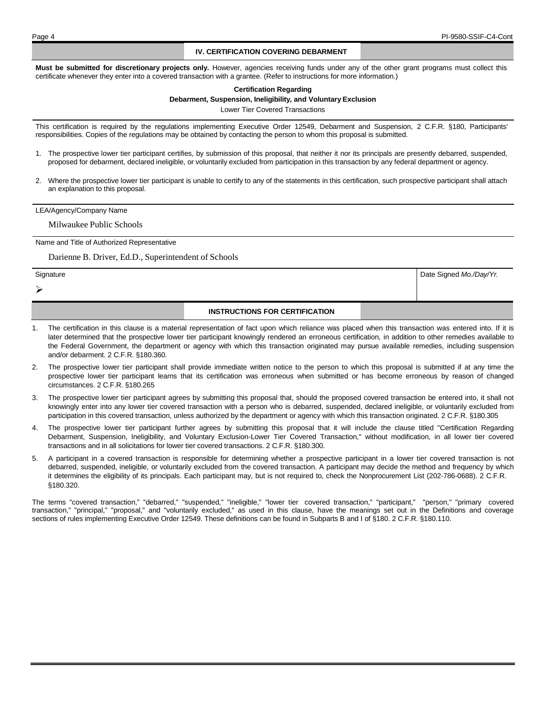Date Signed *Mo./Day/Yr.*

#### **IV. CERTIFICATION COVERING DEBARMENT**

**Must be submitted for discretionary projects only.** However, agencies receiving funds under any of the other grant programs must collect this certificate whenever they enter into a covered transaction with a grantee. (Refer to instructions for more information.)

#### **Certification Regarding**

#### **Debarment, Suspension, Ineligibility, and Voluntary Exclusion**

Lower Tier Covered Transactions

This certification is required by the regulations implementing Executive Order 12549, Debarment and Suspension, 2 C.F.R. §180, Participants' responsibilities. Copies of the regulations may be obtained by contacting the person to whom this proposal is submitted.

- 1. The prospective lower tier participant certifies, by submission of this proposal, that neither it nor its principals are presently debarred, suspended, proposed for debarment, declared ineligible, or voluntarily excluded from participation in this transaction by any federal department or agency.
- 2. Where the prospective lower tier participant is unable to certify to any of the statements in this certification, such prospective participant shall attach an explanation to this proposal.

#### LEA/Agency/Company Name

Milwaukee Public Schools

Name and Title of Authorized Representative

Darienne B. Driver, Ed.D., Superintendent of Schools

**Signature** 

⋗

## **INSTRUCTIONS FOR CERTIFICATION**

- 1. The certification in this clause is a material representation of fact upon which reliance was placed when this transaction was entered into. If it is later determined that the prospective lower tier participant knowingly rendered an erroneous certification, in addition to other remedies available to the Federal Government, the department or agency with which this transaction originated may pursue available remedies, including suspension and/or debarment. 2 C.F.R. §180.360.
- 2. The prospective lower tier participant shall provide immediate written notice to the person to which this proposal is submitted if at any time the prospective lower tier participant learns that its certification was erroneous when submitted or has become erroneous by reason of changed circumstances. 2 C.F.R. §180.265
- 3. The prospective lower tier participant agrees by submitting this proposal that, should the proposed covered transaction be entered into, it shall not knowingly enter into any lower tier covered transaction with a person who is debarred, suspended, declared ineligible, or voluntarily excluded from participation in this covered transaction, unless authorized by the department or agency with which this transaction originated. 2 C.F.R. §180.305
- The prospective lower tier participant further agrees by submitting this proposal that it will include the clause titled "Certification Regarding Debarment, Suspension, Ineligibility, and Voluntary Exclusion-Lower Tier Covered Transaction," without modification, in all lower tier covered transactions and in all solicitations for lower tier covered transactions. 2 C.F.R. §180.300.
- 5. A participant in a covered transaction is responsible for determining whether a prospective participant in a lower tier covered transaction is not debarred, suspended, ineligible, or voluntarily excluded from the covered transaction. A participant may decide the method and frequency by which it determines the eligibility of its principals. Each participant may, but is not required to, check the Nonprocurement List (202-786-0688). 2 C.F.R. §180.320.

The terms "covered transaction," "debarred," "suspended," "ineligible," "lower tier covered transaction," "participant," "person," "primary covered transaction," "principal," "proposal," and "voluntarily excluded," as used in this clause, have the meanings set out in the Definitions and coverage sections of rules implementing Executive Order 12549. These definitions can be found in Subparts B and I of §180. 2 C.F.R. §180.110.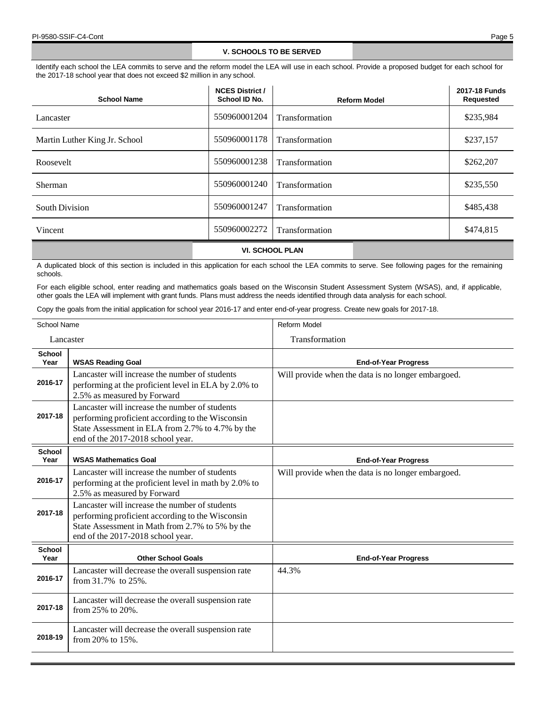## **V. SCHOOLS TO BE SERVED**

Identify each school the LEA commits to serve and the reform model the LEA will use in each school. Provide a proposed budget for each school for the 2017-18 school year that does not exceed \$2 million in any school.

| <b>School Name</b>            | <b>NCES District /</b><br>School ID No. | <b>Reform Model</b> | 2017-18 Funds<br><b>Requested</b> |
|-------------------------------|-----------------------------------------|---------------------|-----------------------------------|
| Lancaster                     | 550960001204                            | Transformation      | \$235,984                         |
| Martin Luther King Jr. School | 550960001178                            | Transformation      | \$237,157                         |
| Roosevelt                     | 550960001238                            | Transformation      | \$262,207                         |
| Sherman                       | 550960001240                            | Transformation      | \$235,550                         |
| <b>South Division</b>         | 550960001247                            | Transformation      | \$485,438                         |
| Vincent                       | 550960002272                            | Transformation      | \$474,815                         |
|                               |                                         |                     |                                   |

**VI. SCHOOL PLAN**

A duplicated block of this section is included in this application for each school the LEA commits to serve. See following pages for the remaining schools.

For each eligible school, enter reading and mathematics goals based on the Wisconsin Student Assessment System (WSAS), and, if applicable, other goals the LEA will implement with grant funds. Plans must address the needs identified through data analysis for each school.

Copy the goals from the initial application for school year 2016-17 and enter end-of-year progress. Create new goals for 2017-18.

| School Name           |                                                                                                                                                                                             | <b>Reform Model</b>                                |
|-----------------------|---------------------------------------------------------------------------------------------------------------------------------------------------------------------------------------------|----------------------------------------------------|
| Lancaster             |                                                                                                                                                                                             | Transformation                                     |
| <b>School</b><br>Year | <b>WSAS Reading Goal</b>                                                                                                                                                                    | <b>End-of-Year Progress</b>                        |
| 2016-17               | Lancaster will increase the number of students<br>performing at the proficient level in ELA by 2.0% to<br>2.5% as measured by Forward                                                       | Will provide when the data is no longer embargoed. |
| 2017-18               | Lancaster will increase the number of students<br>performing proficient according to the Wisconsin<br>State Assessment in ELA from 2.7% to 4.7% by the<br>end of the 2017-2018 school year. |                                                    |
| <b>School</b><br>Year | <b>WSAS Mathematics Goal</b>                                                                                                                                                                | <b>End-of-Year Progress</b>                        |
| 2016-17               | Lancaster will increase the number of students<br>performing at the proficient level in math by 2.0% to<br>2.5% as measured by Forward                                                      | Will provide when the data is no longer embargoed. |
| 2017-18               | Lancaster will increase the number of students<br>performing proficient according to the Wisconsin<br>State Assessment in Math from 2.7% to 5% by the<br>end of the 2017-2018 school year.  |                                                    |
| <b>School</b><br>Year | <b>Other School Goals</b>                                                                                                                                                                   | <b>End-of-Year Progress</b>                        |
| 2016-17               | Lancaster will decrease the overall suspension rate<br>from 31.7% to 25%.                                                                                                                   | 44.3%                                              |
| 2017-18               | Lancaster will decrease the overall suspension rate<br>from 25% to 20%.                                                                                                                     |                                                    |
| 2018-19               | Lancaster will decrease the overall suspension rate<br>from 20% to 15%.                                                                                                                     |                                                    |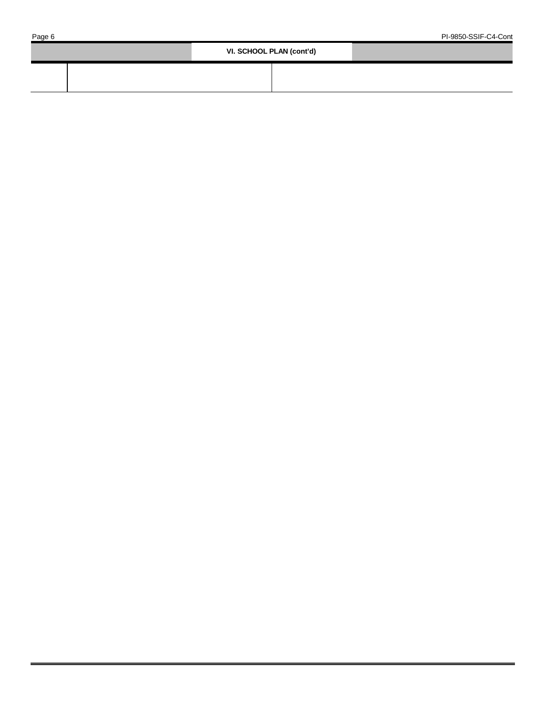| VI. SCHOOL PLAN (cont'd) |  |
|--------------------------|--|
|                          |  |
|                          |  |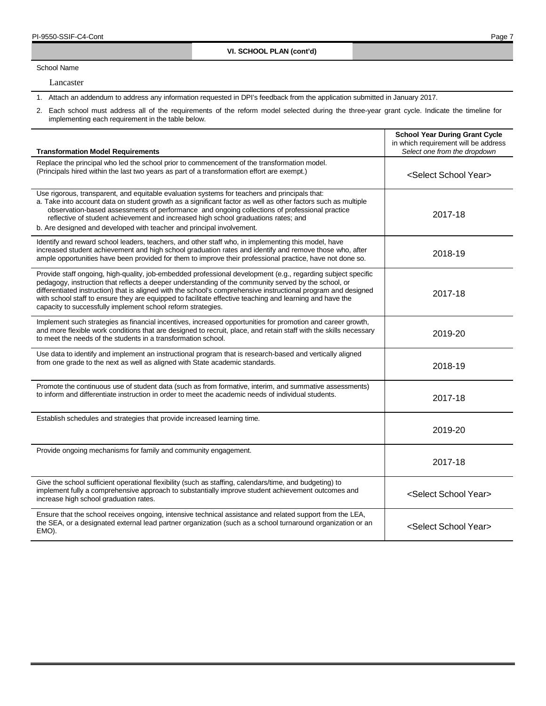School Name

 $\overline{1}$ 

Lancaster

1. Attach an addendum to address any information requested in DPI's feedback from the application submitted in January 2017.

| <b>Transformation Model Requirements</b>                                                                                                                                                                                                                                                                                                                                                                                                                                                                           | <b>School Year During Grant Cycle</b><br>in which requirement will be address<br>Select one from the dropdown |
|--------------------------------------------------------------------------------------------------------------------------------------------------------------------------------------------------------------------------------------------------------------------------------------------------------------------------------------------------------------------------------------------------------------------------------------------------------------------------------------------------------------------|---------------------------------------------------------------------------------------------------------------|
| Replace the principal who led the school prior to commencement of the transformation model.<br>(Principals hired within the last two years as part of a transformation effort are exempt.)                                                                                                                                                                                                                                                                                                                         | <select school="" year=""></select>                                                                           |
| Use rigorous, transparent, and equitable evaluation systems for teachers and principals that:<br>a. Take into account data on student growth as a significant factor as well as other factors such as multiple<br>observation-based assessments of performance and ongoing collections of professional practice<br>reflective of student achievement and increased high school graduations rates; and<br>b. Are designed and developed with teacher and principal involvement.                                     | 2017-18                                                                                                       |
| Identify and reward school leaders, teachers, and other staff who, in implementing this model, have<br>increased student achievement and high school graduation rates and identify and remove those who, after<br>ample opportunities have been provided for them to improve their professional practice, have not done so.                                                                                                                                                                                        | 2018-19                                                                                                       |
| Provide staff ongoing, high-quality, job-embedded professional development (e.g., regarding subject specific<br>pedagogy, instruction that reflects a deeper understanding of the community served by the school, or<br>differentiated instruction) that is aligned with the school's comprehensive instructional program and designed<br>with school staff to ensure they are equipped to facilitate effective teaching and learning and have the<br>capacity to successfully implement school reform strategies. | 2017-18                                                                                                       |
| Implement such strategies as financial incentives, increased opportunities for promotion and career growth,<br>and more flexible work conditions that are designed to recruit, place, and retain staff with the skills necessary<br>to meet the needs of the students in a transformation school.                                                                                                                                                                                                                  | 2019-20                                                                                                       |
| Use data to identify and implement an instructional program that is research-based and vertically aligned<br>from one grade to the next as well as aligned with State academic standards.                                                                                                                                                                                                                                                                                                                          | 2018-19                                                                                                       |
| Promote the continuous use of student data (such as from formative, interim, and summative assessments)<br>to inform and differentiate instruction in order to meet the academic needs of individual students.                                                                                                                                                                                                                                                                                                     | 2017-18                                                                                                       |
| Establish schedules and strategies that provide increased learning time.                                                                                                                                                                                                                                                                                                                                                                                                                                           | 2019-20                                                                                                       |
| Provide ongoing mechanisms for family and community engagement.                                                                                                                                                                                                                                                                                                                                                                                                                                                    | 2017-18                                                                                                       |
| Give the school sufficient operational flexibility (such as staffing, calendars/time, and budgeting) to<br>implement fully a comprehensive approach to substantially improve student achievement outcomes and<br>increase high school graduation rates.                                                                                                                                                                                                                                                            | <select school="" year=""></select>                                                                           |
| Ensure that the school receives ongoing, intensive technical assistance and related support from the LEA,<br>the SEA, or a designated external lead partner organization (such as a school turnaround organization or an<br>EMO).                                                                                                                                                                                                                                                                                  | <select school="" year=""></select>                                                                           |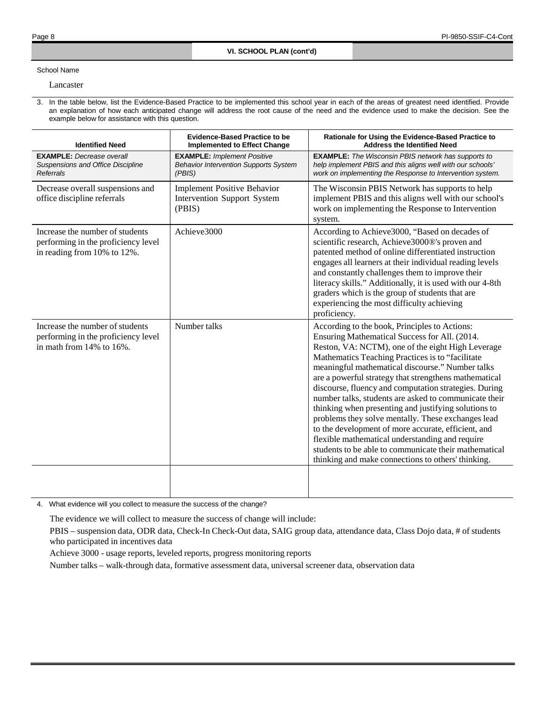### School Name

Lancaster

3. In the table below, list the Evidence-Based Practice to be implemented this school year in each of the areas of greatest need identified. Provide an explanation of how each anticipated change will address the root cause of the need and the evidence used to make the decision. See the example below for assistance with this question.

| <b>Identified Need</b>                                                                                    | <b>Evidence-Based Practice to be</b><br><b>Implemented to Effect Change</b>                  | Rationale for Using the Evidence-Based Practice to<br><b>Address the Identified Need</b>                                                                                                                                                                                                                                                                                                                                                                                                                                                                                                                                                                                                                                                                                      |
|-----------------------------------------------------------------------------------------------------------|----------------------------------------------------------------------------------------------|-------------------------------------------------------------------------------------------------------------------------------------------------------------------------------------------------------------------------------------------------------------------------------------------------------------------------------------------------------------------------------------------------------------------------------------------------------------------------------------------------------------------------------------------------------------------------------------------------------------------------------------------------------------------------------------------------------------------------------------------------------------------------------|
| <b>EXAMPLE:</b> Decrease overall<br>Suspensions and Office Discipline<br><b>Referrals</b>                 | <b>EXAMPLE: Implement Positive</b><br><b>Behavior Intervention Supports System</b><br>(PBIS) | <b>EXAMPLE:</b> The Wisconsin PBIS network has supports to<br>help implement PBIS and this aligns well with our schools'<br>work on implementing the Response to Intervention system.                                                                                                                                                                                                                                                                                                                                                                                                                                                                                                                                                                                         |
| Decrease overall suspensions and<br>office discipline referrals                                           | <b>Implement Positive Behavior</b><br>Intervention Support System<br>(PBIS)                  | The Wisconsin PBIS Network has supports to help<br>implement PBIS and this aligns well with our school's<br>work on implementing the Response to Intervention<br>system.                                                                                                                                                                                                                                                                                                                                                                                                                                                                                                                                                                                                      |
| Increase the number of students<br>performing in the proficiency level<br>in reading from 10% to 12%.     | Achieve3000                                                                                  | According to Achieve3000, "Based on decades of<br>scientific research, Achieve3000®'s proven and<br>patented method of online differentiated instruction<br>engages all learners at their individual reading levels<br>and constantly challenges them to improve their<br>literacy skills." Additionally, it is used with our 4-8th<br>graders which is the group of students that are<br>experiencing the most difficulty achieving<br>proficiency.                                                                                                                                                                                                                                                                                                                          |
| Increase the number of students<br>performing in the proficiency level<br>in math from $14\%$ to $16\%$ . | Number talks                                                                                 | According to the book, Principles to Actions:<br>Ensuring Mathematical Success for All. (2014.<br>Reston, VA: NCTM), one of the eight High Leverage<br>Mathematics Teaching Practices is to "facilitate<br>meaningful mathematical discourse." Number talks<br>are a powerful strategy that strengthens mathematical<br>discourse, fluency and computation strategies. During<br>number talks, students are asked to communicate their<br>thinking when presenting and justifying solutions to<br>problems they solve mentally. These exchanges lead<br>to the development of more accurate, efficient, and<br>flexible mathematical understanding and require<br>students to be able to communicate their mathematical<br>thinking and make connections to others' thinking. |
|                                                                                                           |                                                                                              |                                                                                                                                                                                                                                                                                                                                                                                                                                                                                                                                                                                                                                                                                                                                                                               |

4. What evidence will you collect to measure the success of the change?

The evidence we will collect to measure the success of change will include:

PBIS – suspension data, ODR data, Check-In Check-Out data, SAIG group data, attendance data, Class Dojo data, # of students who participated in incentives data

Achieve 3000 - usage reports, leveled reports, progress monitoring reports

Number talks – walk-through data, formative assessment data, universal screener data, observation data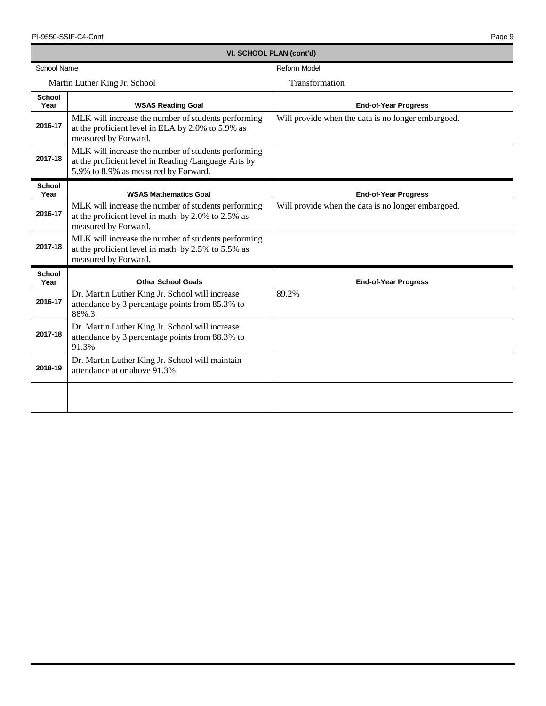| VI. SCHOOL PLAN (cont'd) |                                                                                                                                                     |                                                    |  |  |
|--------------------------|-----------------------------------------------------------------------------------------------------------------------------------------------------|----------------------------------------------------|--|--|
| <b>School Name</b>       |                                                                                                                                                     | <b>Reform Model</b>                                |  |  |
|                          | Martin Luther King Jr. School                                                                                                                       | Transformation                                     |  |  |
| <b>School</b><br>Year    | <b>WSAS Reading Goal</b>                                                                                                                            | <b>End-of-Year Progress</b>                        |  |  |
| 2016-17                  | MLK will increase the number of students performing<br>at the proficient level in ELA by 2.0% to 5.9% as<br>measured by Forward.                    | Will provide when the data is no longer embargoed. |  |  |
| 2017-18                  | MLK will increase the number of students performing<br>at the proficient level in Reading /Language Arts by<br>5.9% to 8.9% as measured by Forward. |                                                    |  |  |
| <b>School</b><br>Year    | <b>WSAS Mathematics Goal</b>                                                                                                                        | <b>End-of-Year Progress</b>                        |  |  |
| 2016-17                  | MLK will increase the number of students performing<br>at the proficient level in math by 2.0% to 2.5% as<br>measured by Forward.                   | Will provide when the data is no longer embargoed. |  |  |
| 2017-18                  | MLK will increase the number of students performing<br>at the proficient level in math by $2.5\%$ to $5.5\%$ as<br>measured by Forward.             |                                                    |  |  |
| <b>School</b><br>Year    | <b>Other School Goals</b>                                                                                                                           | <b>End-of-Year Progress</b>                        |  |  |
| 2016-17                  | Dr. Martin Luther King Jr. School will increase<br>attendance by 3 percentage points from 85.3% to<br>88%.3.                                        | 89.2%                                              |  |  |
| 2017-18                  | Dr. Martin Luther King Jr. School will increase<br>attendance by 3 percentage points from 88.3% to<br>91.3%.                                        |                                                    |  |  |
| 2018-19                  | Dr. Martin Luther King Jr. School will maintain<br>attendance at or above 91.3%                                                                     |                                                    |  |  |
|                          |                                                                                                                                                     |                                                    |  |  |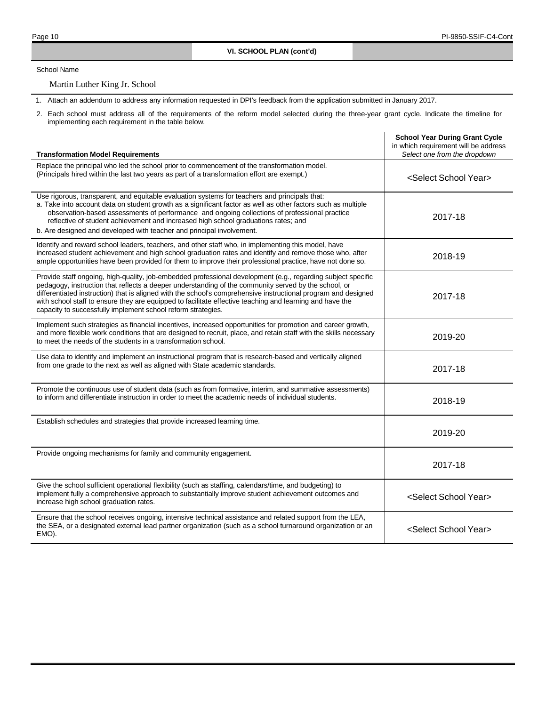School Name

Martin Luther King Jr. School

1. Attach an addendum to address any information requested in DPI's feedback from the application submitted in January 2017.

| <b>Transformation Model Requirements</b>                                                                                                                                                                                                                                                                                                                                                                                                                                                                           | <b>School Year During Grant Cycle</b><br>in which requirement will be address<br>Select one from the dropdown |
|--------------------------------------------------------------------------------------------------------------------------------------------------------------------------------------------------------------------------------------------------------------------------------------------------------------------------------------------------------------------------------------------------------------------------------------------------------------------------------------------------------------------|---------------------------------------------------------------------------------------------------------------|
| Replace the principal who led the school prior to commencement of the transformation model.<br>(Principals hired within the last two years as part of a transformation effort are exempt.)                                                                                                                                                                                                                                                                                                                         | <select school="" year=""></select>                                                                           |
| Use rigorous, transparent, and equitable evaluation systems for teachers and principals that:<br>a. Take into account data on student growth as a significant factor as well as other factors such as multiple<br>observation-based assessments of performance and ongoing collections of professional practice<br>reflective of student achievement and increased high school graduations rates; and<br>b. Are designed and developed with teacher and principal involvement.                                     | 2017-18                                                                                                       |
| Identify and reward school leaders, teachers, and other staff who, in implementing this model, have<br>increased student achievement and high school graduation rates and identify and remove those who, after<br>ample opportunities have been provided for them to improve their professional practice, have not done so.                                                                                                                                                                                        | 2018-19                                                                                                       |
| Provide staff ongoing, high-quality, job-embedded professional development (e.g., regarding subject specific<br>pedagogy, instruction that reflects a deeper understanding of the community served by the school, or<br>differentiated instruction) that is aligned with the school's comprehensive instructional program and designed<br>with school staff to ensure they are equipped to facilitate effective teaching and learning and have the<br>capacity to successfully implement school reform strategies. | 2017-18                                                                                                       |
| Implement such strategies as financial incentives, increased opportunities for promotion and career growth,<br>and more flexible work conditions that are designed to recruit, place, and retain staff with the skills necessary<br>to meet the needs of the students in a transformation school.                                                                                                                                                                                                                  | 2019-20                                                                                                       |
| Use data to identify and implement an instructional program that is research-based and vertically aligned<br>from one grade to the next as well as aligned with State academic standards.                                                                                                                                                                                                                                                                                                                          | 2017-18                                                                                                       |
| Promote the continuous use of student data (such as from formative, interim, and summative assessments)<br>to inform and differentiate instruction in order to meet the academic needs of individual students.                                                                                                                                                                                                                                                                                                     | 2018-19                                                                                                       |
| Establish schedules and strategies that provide increased learning time.                                                                                                                                                                                                                                                                                                                                                                                                                                           | 2019-20                                                                                                       |
| Provide ongoing mechanisms for family and community engagement.                                                                                                                                                                                                                                                                                                                                                                                                                                                    | 2017-18                                                                                                       |
| Give the school sufficient operational flexibility (such as staffing, calendars/time, and budgeting) to<br>implement fully a comprehensive approach to substantially improve student achievement outcomes and<br>increase high school graduation rates.                                                                                                                                                                                                                                                            | <select school="" year=""></select>                                                                           |
| Ensure that the school receives ongoing, intensive technical assistance and related support from the LEA,<br>the SEA, or a designated external lead partner organization (such as a school turnaround organization or an<br>EMO).                                                                                                                                                                                                                                                                                  | <select school="" year=""></select>                                                                           |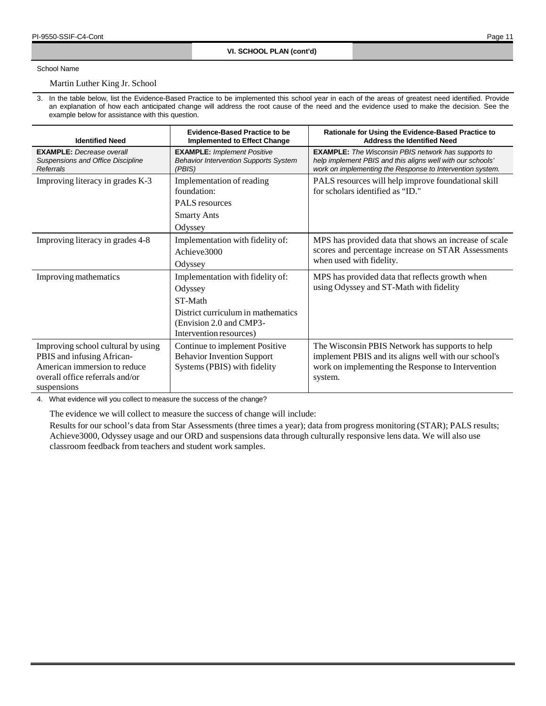## School Name

Martin Luther King Jr. School

3. In the table below, list the Evidence-Based Practice to be implemented this school year in each of the areas of greatest need identified. Provide an explanation of how each anticipated change will address the root cause of the need and the evidence used to make the decision. See the example below for assistance with this question.

| <b>Identified Need</b>                                                                                                                             | <b>Evidence-Based Practice to be</b><br><b>Implemented to Effect Change</b>                                                                        | Rationale for Using the Evidence-Based Practice to<br><b>Address the Identified Need</b>                                                                                              |
|----------------------------------------------------------------------------------------------------------------------------------------------------|----------------------------------------------------------------------------------------------------------------------------------------------------|---------------------------------------------------------------------------------------------------------------------------------------------------------------------------------------|
| <b>EXAMPLE:</b> Decrease overall<br>Suspensions and Office Discipline<br>Referrals                                                                 | <b>EXAMPLE: Implement Positive</b><br><b>Behavior Intervention Supports System</b><br>(PBIS)                                                       | <b>EXAMPLE:</b> The Wisconsin PBIS network has supports to<br>help implement PBIS and this aligns well with our schools'<br>work on implementing the Response to Intervention system. |
| Improving literacy in grades K-3                                                                                                                   | Implementation of reading<br>foundation:<br><b>PALS</b> resources<br><b>Smarty Ants</b><br>Odyssey                                                 | PALS resources will help improve foundational skill<br>for scholars identified as "ID."                                                                                               |
| Improving literacy in grades 4-8                                                                                                                   | Implementation with fidelity of:<br>Achieve3000<br>Odyssey                                                                                         | MPS has provided data that shows an increase of scale<br>scores and percentage increase on STAR Assessments<br>when used with fidelity.                                               |
| Improving mathematics                                                                                                                              | Implementation with fidelity of:<br>Odyssey<br>ST-Math<br>District curriculum in mathematics<br>(Envision 2.0 and CMP3-<br>Intervention resources) | MPS has provided data that reflects growth when<br>using Odyssey and ST-Math with fidelity                                                                                            |
| Improving school cultural by using<br>PBIS and infusing African-<br>American immersion to reduce<br>overall office referrals and/or<br>suspensions | Continue to implement Positive<br><b>Behavior Invention Support</b><br>Systems (PBIS) with fidelity                                                | The Wisconsin PBIS Network has supports to help<br>implement PBIS and its aligns well with our school's<br>work on implementing the Response to Intervention<br>system.               |

4. What evidence will you collect to measure the success of the change?

The evidence we will collect to measure the success of change will include:

Results for our school's data from Star Assessments (three times a year); data from progress monitoring (STAR); PALS results; Achieve3000, Odyssey usage and our ORD and suspensions data through culturally responsive lens data. We will also use classroom feedback from teachers and student work samples.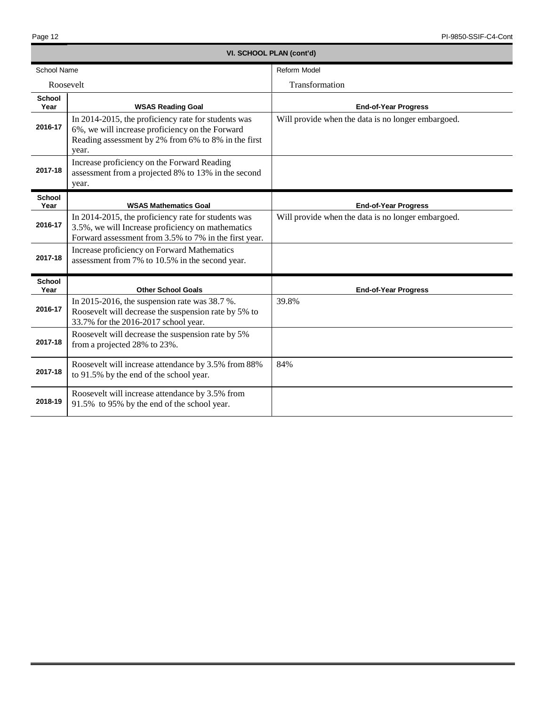| VI. SCHOOL PLAN (cont'd) |                                                                                                                                                                        |                                                    |  |  |
|--------------------------|------------------------------------------------------------------------------------------------------------------------------------------------------------------------|----------------------------------------------------|--|--|
| <b>School Name</b>       |                                                                                                                                                                        | <b>Reform Model</b>                                |  |  |
| Roosevelt                |                                                                                                                                                                        | Transformation                                     |  |  |
| <b>School</b><br>Year    | <b>WSAS Reading Goal</b>                                                                                                                                               | <b>End-of-Year Progress</b>                        |  |  |
| 2016-17                  | In 2014-2015, the proficiency rate for students was<br>6%, we will increase proficiency on the Forward<br>Reading assessment by 2% from 6% to 8% in the first<br>year. | Will provide when the data is no longer embargoed. |  |  |
| 2017-18                  | Increase proficiency on the Forward Reading<br>assessment from a projected 8% to 13% in the second<br>year.                                                            |                                                    |  |  |
| <b>School</b><br>Year    | <b>WSAS Mathematics Goal</b>                                                                                                                                           | <b>End-of-Year Progress</b>                        |  |  |
| 2016-17                  | In 2014-2015, the proficiency rate for students was<br>3.5%, we will Increase proficiency on mathematics<br>Forward assessment from 3.5% to 7% in the first year.      | Will provide when the data is no longer embargoed. |  |  |
| 2017-18                  | Increase proficiency on Forward Mathematics<br>assessment from 7% to 10.5% in the second year.                                                                         |                                                    |  |  |
| <b>School</b><br>Year    | <b>Other School Goals</b>                                                                                                                                              | <b>End-of-Year Progress</b>                        |  |  |
| 2016-17                  | In 2015-2016, the suspension rate was $38.7$ %.<br>Roosevelt will decrease the suspension rate by 5% to<br>33.7% for the 2016-2017 school year.                        | 39.8%                                              |  |  |
| 2017-18                  | Roosevelt will decrease the suspension rate by 5%<br>from a projected 28% to 23%.                                                                                      |                                                    |  |  |
| 2017-18                  | Roosevelt will increase attendance by 3.5% from 88%<br>to 91.5% by the end of the school year.                                                                         | 84%                                                |  |  |
| 2018-19                  | Roosevelt will increase attendance by 3.5% from<br>91.5% to 95% by the end of the school year.                                                                         |                                                    |  |  |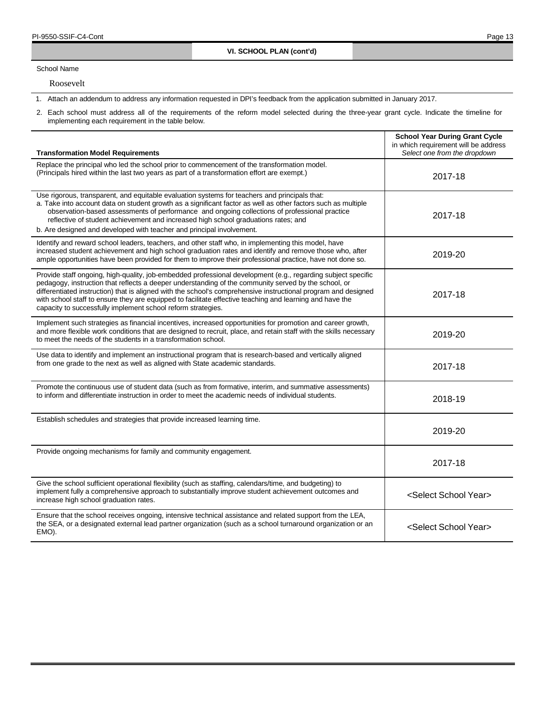School Name

Roosevelt

1. Attach an addendum to address any information requested in DPI's feedback from the application submitted in January 2017.

| <b>Transformation Model Requirements</b>                                                                                                                                                                                                                                                                                                                                                                                                                                                                           | <b>School Year During Grant Cycle</b><br>in which requirement will be address<br>Select one from the dropdown |
|--------------------------------------------------------------------------------------------------------------------------------------------------------------------------------------------------------------------------------------------------------------------------------------------------------------------------------------------------------------------------------------------------------------------------------------------------------------------------------------------------------------------|---------------------------------------------------------------------------------------------------------------|
| Replace the principal who led the school prior to commencement of the transformation model.<br>(Principals hired within the last two years as part of a transformation effort are exempt.)                                                                                                                                                                                                                                                                                                                         | 2017-18                                                                                                       |
| Use rigorous, transparent, and equitable evaluation systems for teachers and principals that:<br>a. Take into account data on student growth as a significant factor as well as other factors such as multiple<br>observation-based assessments of performance and ongoing collections of professional practice<br>reflective of student achievement and increased high school graduations rates; and<br>b. Are designed and developed with teacher and principal involvement.                                     | 2017-18                                                                                                       |
| Identify and reward school leaders, teachers, and other staff who, in implementing this model, have<br>increased student achievement and high school graduation rates and identify and remove those who, after<br>ample opportunities have been provided for them to improve their professional practice, have not done so.                                                                                                                                                                                        | 2019-20                                                                                                       |
| Provide staff ongoing, high-quality, job-embedded professional development (e.g., regarding subject specific<br>pedagogy, instruction that reflects a deeper understanding of the community served by the school, or<br>differentiated instruction) that is aligned with the school's comprehensive instructional program and designed<br>with school staff to ensure they are equipped to facilitate effective teaching and learning and have the<br>capacity to successfully implement school reform strategies. | 2017-18                                                                                                       |
| Implement such strategies as financial incentives, increased opportunities for promotion and career growth,<br>and more flexible work conditions that are designed to recruit, place, and retain staff with the skills necessary<br>to meet the needs of the students in a transformation school.                                                                                                                                                                                                                  | 2019-20                                                                                                       |
| Use data to identify and implement an instructional program that is research-based and vertically aligned<br>from one grade to the next as well as aligned with State academic standards.                                                                                                                                                                                                                                                                                                                          | 2017-18                                                                                                       |
| Promote the continuous use of student data (such as from formative, interim, and summative assessments)<br>to inform and differentiate instruction in order to meet the academic needs of individual students.                                                                                                                                                                                                                                                                                                     | 2018-19                                                                                                       |
| Establish schedules and strategies that provide increased learning time.                                                                                                                                                                                                                                                                                                                                                                                                                                           | 2019-20                                                                                                       |
| Provide ongoing mechanisms for family and community engagement.                                                                                                                                                                                                                                                                                                                                                                                                                                                    | 2017-18                                                                                                       |
| Give the school sufficient operational flexibility (such as staffing, calendars/time, and budgeting) to<br>implement fully a comprehensive approach to substantially improve student achievement outcomes and<br>increase high school graduation rates.                                                                                                                                                                                                                                                            | <select school="" year=""></select>                                                                           |
| Ensure that the school receives ongoing, intensive technical assistance and related support from the LEA,<br>the SEA, or a designated external lead partner organization (such as a school turnaround organization or an<br>EMO).                                                                                                                                                                                                                                                                                  | <select school="" year=""></select>                                                                           |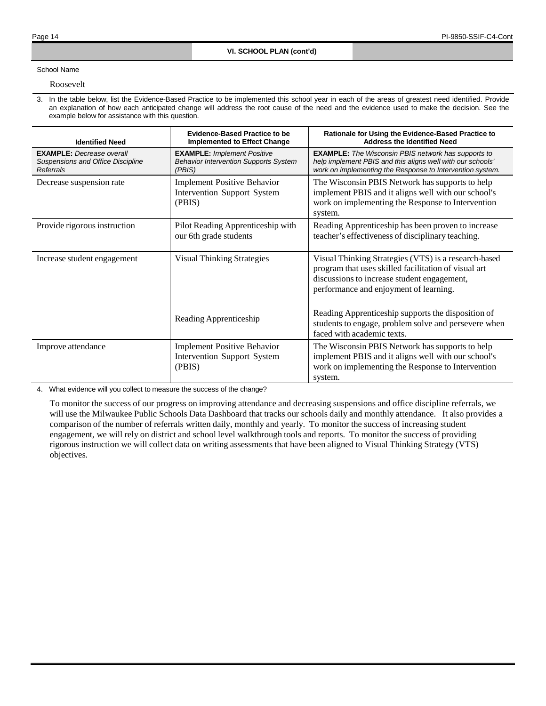## School Name

### Roosevelt

3. In the table below, list the Evidence-Based Practice to be implemented this school year in each of the areas of greatest need identified. Provide an explanation of how each anticipated change will address the root cause of the need and the evidence used to make the decision. See the example below for assistance with this question.

| <b>Identified Need</b>                                                             | <b>Evidence-Based Practice to be</b><br><b>Implemented to Effect Change</b>                  | Rationale for Using the Evidence-Based Practice to<br><b>Address the Identified Need</b>                                                                                                              |
|------------------------------------------------------------------------------------|----------------------------------------------------------------------------------------------|-------------------------------------------------------------------------------------------------------------------------------------------------------------------------------------------------------|
| <b>EXAMPLE:</b> Decrease overall<br>Suspensions and Office Discipline<br>Referrals | <b>EXAMPLE:</b> Implement Positive<br><b>Behavior Intervention Supports System</b><br>(PBIS) | <b>EXAMPLE:</b> The Wisconsin PBIS network has supports to<br>help implement PBIS and this aligns well with our schools'<br>work on implementing the Response to Intervention system.                 |
| Decrease suspension rate                                                           | <b>Implement Positive Behavior</b><br>Intervention Support System<br>(PBIS)                  | The Wisconsin PBIS Network has supports to help<br>implement PBIS and it aligns well with our school's<br>work on implementing the Response to Intervention<br>system.                                |
| Provide rigorous instruction                                                       | Pilot Reading Apprenticeship with<br>our 6th grade students                                  | Reading Apprenticeship has been proven to increase<br>teacher's effectiveness of disciplinary teaching.                                                                                               |
| Increase student engagement                                                        | <b>Visual Thinking Strategies</b>                                                            | Visual Thinking Strategies (VTS) is a research-based<br>program that uses skilled facilitation of visual art<br>discussions to increase student engagement,<br>performance and enjoyment of learning. |
|                                                                                    | Reading Apprenticeship                                                                       | Reading Apprenticeship supports the disposition of<br>students to engage, problem solve and persevere when<br>faced with academic texts.                                                              |
| Improve attendance                                                                 | <b>Implement Positive Behavior</b><br>Intervention Support System<br>(PBIS)                  | The Wisconsin PBIS Network has supports to help<br>implement PBIS and it aligns well with our school's<br>work on implementing the Response to Intervention<br>system.                                |

4. What evidence will you collect to measure the success of the change?

To monitor the success of our progress on improving attendance and decreasing suspensions and office discipline referrals, we will use the Milwaukee Public Schools Data Dashboard that tracks our schools daily and monthly attendance. It also provides a comparison of the number of referrals written daily, monthly and yearly. To monitor the success of increasing student engagement, we will rely on district and school level walkthrough tools and reports. To monitor the success of providing rigorous instruction we will collect data on writing assessments that have been aligned to Visual Thinking Strategy (VTS) objectives.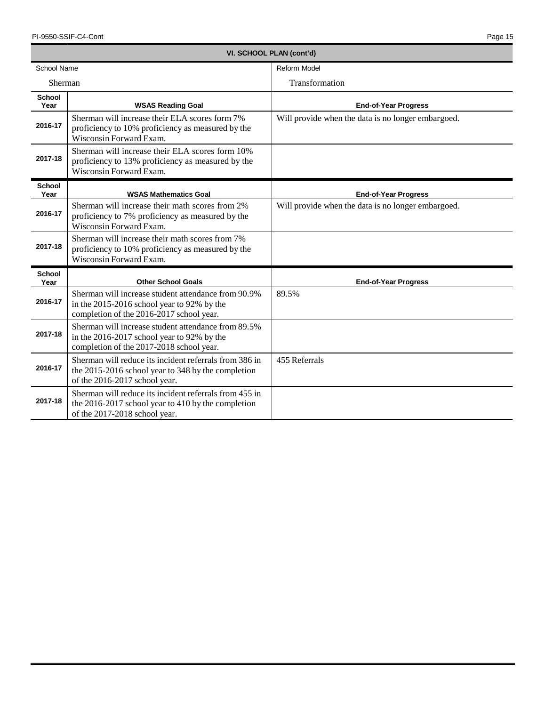|                       | VI. SCHOOL PLAN (cont'd)                                                                                                                      |                                                    |  |  |  |
|-----------------------|-----------------------------------------------------------------------------------------------------------------------------------------------|----------------------------------------------------|--|--|--|
| School Name           |                                                                                                                                               | Reform Model                                       |  |  |  |
| Sherman               |                                                                                                                                               | Transformation                                     |  |  |  |
| <b>School</b><br>Year | <b>WSAS Reading Goal</b>                                                                                                                      | <b>End-of-Year Progress</b>                        |  |  |  |
| 2016-17               | Sherman will increase their ELA scores form 7%<br>proficiency to 10% proficiency as measured by the<br>Wisconsin Forward Exam.                | Will provide when the data is no longer embargoed. |  |  |  |
| 2017-18               | Sherman will increase their ELA scores form 10%<br>proficiency to 13% proficiency as measured by the<br>Wisconsin Forward Exam.               |                                                    |  |  |  |
| <b>School</b><br>Year | <b>WSAS Mathematics Goal</b>                                                                                                                  | <b>End-of-Year Progress</b>                        |  |  |  |
| 2016-17               | Sherman will increase their math scores from 2%<br>proficiency to 7% proficiency as measured by the<br>Wisconsin Forward Exam.                | Will provide when the data is no longer embargoed. |  |  |  |
| 2017-18               | Sherman will increase their math scores from 7%<br>proficiency to 10% proficiency as measured by the<br>Wisconsin Forward Exam.               |                                                    |  |  |  |
| <b>School</b><br>Year | <b>Other School Goals</b>                                                                                                                     | <b>End-of-Year Progress</b>                        |  |  |  |
| 2016-17               | Sherman will increase student attendance from 90.9%<br>in the 2015-2016 school year to 92% by the<br>completion of the 2016-2017 school year. | 89.5%                                              |  |  |  |
| 2017-18               | Sherman will increase student attendance from 89.5%<br>in the 2016-2017 school year to 92% by the<br>completion of the 2017-2018 school year. |                                                    |  |  |  |
| 2016-17               | Sherman will reduce its incident referrals from 386 in<br>the 2015-2016 school year to 348 by the completion<br>of the 2016-2017 school year. | 455 Referrals                                      |  |  |  |
| 2017-18               | Sherman will reduce its incident referrals from 455 in<br>the 2016-2017 school year to 410 by the completion<br>of the 2017-2018 school year. |                                                    |  |  |  |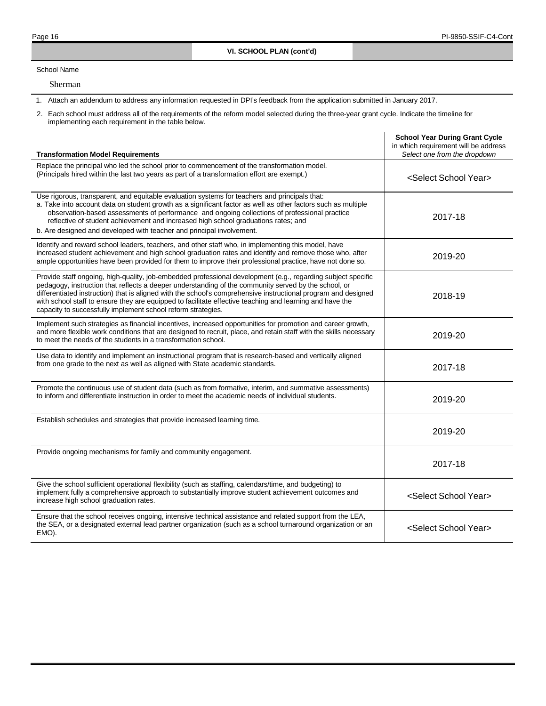School Name

Sherman

1. Attach an addendum to address any information requested in DPI's feedback from the application submitted in January 2017.

| <b>Transformation Model Requirements</b>                                                                                                                                                                                                                                                                                                                                                                                                                                                                           | <b>School Year During Grant Cycle</b><br>in which requirement will be address<br>Select one from the dropdown |
|--------------------------------------------------------------------------------------------------------------------------------------------------------------------------------------------------------------------------------------------------------------------------------------------------------------------------------------------------------------------------------------------------------------------------------------------------------------------------------------------------------------------|---------------------------------------------------------------------------------------------------------------|
| Replace the principal who led the school prior to commencement of the transformation model.<br>(Principals hired within the last two years as part of a transformation effort are exempt.)                                                                                                                                                                                                                                                                                                                         | <select school="" year=""></select>                                                                           |
| Use rigorous, transparent, and equitable evaluation systems for teachers and principals that:<br>a. Take into account data on student growth as a significant factor as well as other factors such as multiple<br>observation-based assessments of performance and ongoing collections of professional practice<br>reflective of student achievement and increased high school graduations rates; and<br>b. Are designed and developed with teacher and principal involvement.                                     | 2017-18                                                                                                       |
| Identify and reward school leaders, teachers, and other staff who, in implementing this model, have<br>increased student achievement and high school graduation rates and identify and remove those who, after<br>ample opportunities have been provided for them to improve their professional practice, have not done so.                                                                                                                                                                                        | 2019-20                                                                                                       |
| Provide staff ongoing, high-quality, job-embedded professional development (e.g., regarding subject specific<br>pedagogy, instruction that reflects a deeper understanding of the community served by the school, or<br>differentiated instruction) that is aligned with the school's comprehensive instructional program and designed<br>with school staff to ensure they are equipped to facilitate effective teaching and learning and have the<br>capacity to successfully implement school reform strategies. | 2018-19                                                                                                       |
| Implement such strategies as financial incentives, increased opportunities for promotion and career growth,<br>and more flexible work conditions that are designed to recruit, place, and retain staff with the skills necessary<br>to meet the needs of the students in a transformation school.                                                                                                                                                                                                                  | 2019-20                                                                                                       |
| Use data to identify and implement an instructional program that is research-based and vertically aligned<br>from one grade to the next as well as aligned with State academic standards.                                                                                                                                                                                                                                                                                                                          | 2017-18                                                                                                       |
| Promote the continuous use of student data (such as from formative, interim, and summative assessments)<br>to inform and differentiate instruction in order to meet the academic needs of individual students.                                                                                                                                                                                                                                                                                                     | 2019-20                                                                                                       |
| Establish schedules and strategies that provide increased learning time.                                                                                                                                                                                                                                                                                                                                                                                                                                           | 2019-20                                                                                                       |
| Provide ongoing mechanisms for family and community engagement.                                                                                                                                                                                                                                                                                                                                                                                                                                                    | 2017-18                                                                                                       |
| Give the school sufficient operational flexibility (such as staffing, calendars/time, and budgeting) to<br>implement fully a comprehensive approach to substantially improve student achievement outcomes and<br>increase high school graduation rates.                                                                                                                                                                                                                                                            | <select school="" year=""></select>                                                                           |
| Ensure that the school receives ongoing, intensive technical assistance and related support from the LEA,<br>the SEA, or a designated external lead partner organization (such as a school turnaround organization or an<br>EMO).                                                                                                                                                                                                                                                                                  | <select school="" year=""></select>                                                                           |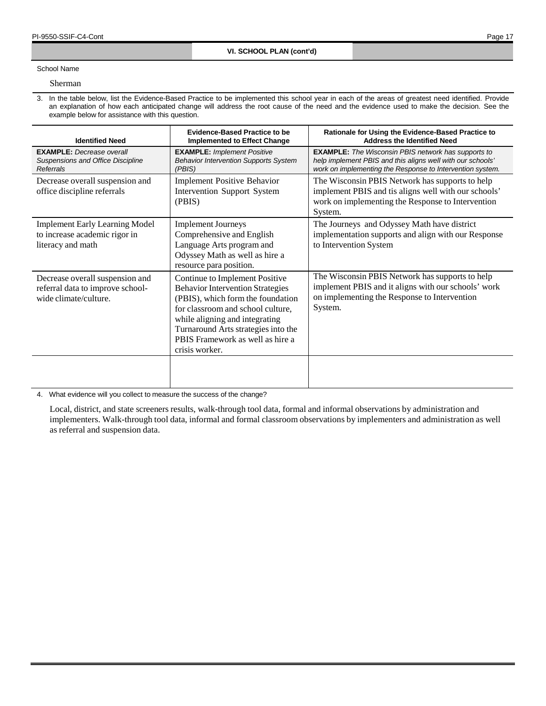# School Name

## Sherman

3. In the table below, list the Evidence-Based Practice to be implemented this school year in each of the areas of greatest need identified. Provide an explanation of how each anticipated change will address the root cause of the need and the evidence used to make the decision. See the example below for assistance with this question.

| <b>Identified Need</b>                                                                                                                                                                                                                                                                                                                                                             | <b>Evidence-Based Practice to be</b><br><b>Implemented to Effect Change</b>                                                                      | Rationale for Using the Evidence-Based Practice to<br><b>Address the Identified Need</b>                                                                                              |  |  |
|------------------------------------------------------------------------------------------------------------------------------------------------------------------------------------------------------------------------------------------------------------------------------------------------------------------------------------------------------------------------------------|--------------------------------------------------------------------------------------------------------------------------------------------------|---------------------------------------------------------------------------------------------------------------------------------------------------------------------------------------|--|--|
| <b>EXAMPLE:</b> Decrease overall<br>Suspensions and Office Discipline<br>Referrals                                                                                                                                                                                                                                                                                                 | <b>EXAMPLE:</b> Implement Positive<br><b>Behavior Intervention Supports System</b><br>(PBIS)                                                     | <b>EXAMPLE:</b> The Wisconsin PBIS network has supports to<br>help implement PBIS and this aligns well with our schools'<br>work on implementing the Response to Intervention system. |  |  |
| Decrease overall suspension and<br>office discipline referrals                                                                                                                                                                                                                                                                                                                     | <b>Implement Positive Behavior</b><br>Intervention Support System<br>(PBIS)                                                                      | The Wisconsin PBIS Network has supports to help<br>implement PBIS and tis aligns well with our schools'<br>work on implementing the Response to Intervention<br>System.               |  |  |
| <b>Implement Early Learning Model</b><br>to increase academic rigor in<br>literacy and math                                                                                                                                                                                                                                                                                        | <b>Implement Journeys</b><br>Comprehensive and English<br>Language Arts program and<br>Odyssey Math as well as hire a<br>resource para position. | The Journeys and Odyssey Math have district<br>implementation supports and align with our Response<br>to Intervention System                                                          |  |  |
| Decrease overall suspension and<br>Continue to Implement Positive<br><b>Behavior Intervention Strategies</b><br>referral data to improve school-<br>(PBIS), which form the foundation<br>wide climate/culture.<br>for classroom and school culture,<br>while aligning and integrating<br>Turnaround Arts strategies into the<br>PBIS Framework as well as hire a<br>crisis worker. |                                                                                                                                                  | The Wisconsin PBIS Network has supports to help<br>implement PBIS and it aligns with our schools' work<br>on implementing the Response to Intervention<br>System.                     |  |  |
|                                                                                                                                                                                                                                                                                                                                                                                    |                                                                                                                                                  |                                                                                                                                                                                       |  |  |

4. What evidence will you collect to measure the success of the change?

Local, district, and state screeners results, walk-through tool data, formal and informal observations by administration and implementers. Walk-through tool data, informal and formal classroom observations by implementers and administration as well as referral and suspension data.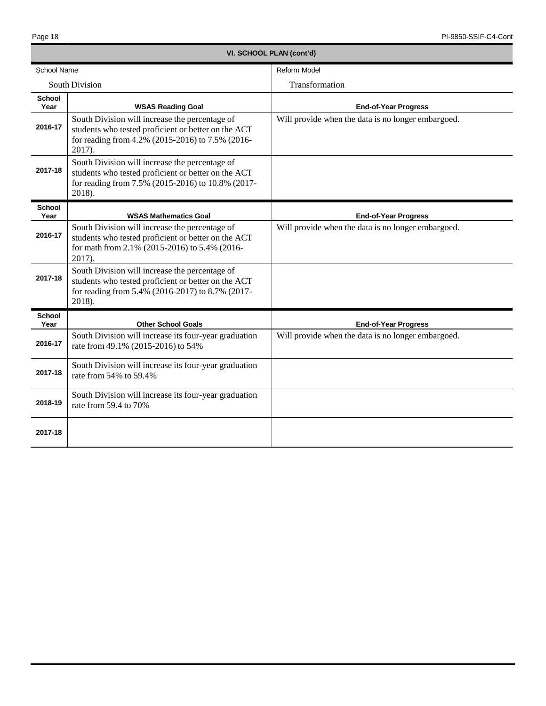| VI. SCHOOL PLAN (cont'd) |                                                                                                                                                                      |                                                    |  |
|--------------------------|----------------------------------------------------------------------------------------------------------------------------------------------------------------------|----------------------------------------------------|--|
| School Name              |                                                                                                                                                                      | Reform Model                                       |  |
|                          | <b>South Division</b>                                                                                                                                                | Transformation                                     |  |
| <b>School</b><br>Year    | <b>WSAS Reading Goal</b>                                                                                                                                             | <b>End-of-Year Progress</b>                        |  |
| 2016-17                  | South Division will increase the percentage of<br>students who tested proficient or better on the ACT<br>for reading from 4.2% (2015-2016) to 7.5% (2016-<br>2017).  | Will provide when the data is no longer embargoed. |  |
| 2017-18                  | South Division will increase the percentage of<br>students who tested proficient or better on the ACT<br>for reading from 7.5% (2015-2016) to 10.8% (2017-<br>2018). |                                                    |  |
| <b>School</b><br>Year    | <b>WSAS Mathematics Goal</b>                                                                                                                                         | <b>End-of-Year Progress</b>                        |  |
| 2016-17                  | South Division will increase the percentage of<br>students who tested proficient or better on the ACT<br>for math from 2.1% (2015-2016) to 5.4% (2016-<br>2017).     | Will provide when the data is no longer embargoed. |  |
| 2017-18                  | South Division will increase the percentage of<br>students who tested proficient or better on the ACT<br>for reading from 5.4% (2016-2017) to 8.7% (2017-<br>2018).  |                                                    |  |
| <b>School</b><br>Year    | <b>Other School Goals</b>                                                                                                                                            | <b>End-of-Year Progress</b>                        |  |
| 2016-17                  | South Division will increase its four-year graduation<br>rate from 49.1% (2015-2016) to 54%                                                                          | Will provide when the data is no longer embargoed. |  |
| 2017-18                  | South Division will increase its four-year graduation<br>rate from 54% to 59.4%                                                                                      |                                                    |  |
| 2018-19                  | South Division will increase its four-year graduation<br>rate from 59.4 to 70%                                                                                       |                                                    |  |
| 2017-18                  |                                                                                                                                                                      |                                                    |  |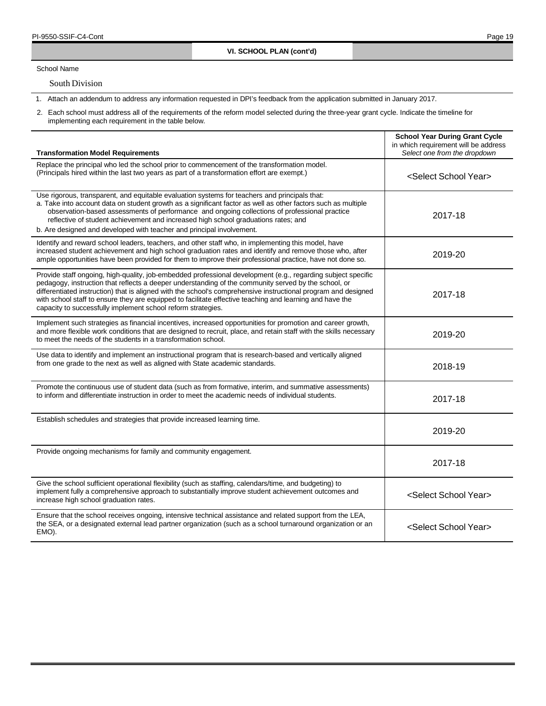School Name

South Division

1. Attach an addendum to address any information requested in DPI's feedback from the application submitted in January 2017.

| <b>Transformation Model Requirements</b>                                                                                                                                                                                                                                                                                                                                                                                                                                                                           | <b>School Year During Grant Cycle</b><br>in which requirement will be address<br>Select one from the dropdown |
|--------------------------------------------------------------------------------------------------------------------------------------------------------------------------------------------------------------------------------------------------------------------------------------------------------------------------------------------------------------------------------------------------------------------------------------------------------------------------------------------------------------------|---------------------------------------------------------------------------------------------------------------|
| Replace the principal who led the school prior to commencement of the transformation model.<br>(Principals hired within the last two years as part of a transformation effort are exempt.)                                                                                                                                                                                                                                                                                                                         | <select school="" year=""></select>                                                                           |
| Use rigorous, transparent, and equitable evaluation systems for teachers and principals that:<br>a. Take into account data on student growth as a significant factor as well as other factors such as multiple<br>observation-based assessments of performance and ongoing collections of professional practice<br>reflective of student achievement and increased high school graduations rates; and<br>b. Are designed and developed with teacher and principal involvement.                                     | 2017-18                                                                                                       |
| Identify and reward school leaders, teachers, and other staff who, in implementing this model, have<br>increased student achievement and high school graduation rates and identify and remove those who, after<br>ample opportunities have been provided for them to improve their professional practice, have not done so.                                                                                                                                                                                        | 2019-20                                                                                                       |
| Provide staff ongoing, high-quality, job-embedded professional development (e.g., regarding subject specific<br>pedagogy, instruction that reflects a deeper understanding of the community served by the school, or<br>differentiated instruction) that is aligned with the school's comprehensive instructional program and designed<br>with school staff to ensure they are equipped to facilitate effective teaching and learning and have the<br>capacity to successfully implement school reform strategies. | 2017-18                                                                                                       |
| Implement such strategies as financial incentives, increased opportunities for promotion and career growth,<br>and more flexible work conditions that are designed to recruit, place, and retain staff with the skills necessary<br>to meet the needs of the students in a transformation school.                                                                                                                                                                                                                  | 2019-20                                                                                                       |
| Use data to identify and implement an instructional program that is research-based and vertically aligned<br>from one grade to the next as well as aligned with State academic standards.                                                                                                                                                                                                                                                                                                                          | 2018-19                                                                                                       |
| Promote the continuous use of student data (such as from formative, interim, and summative assessments)<br>to inform and differentiate instruction in order to meet the academic needs of individual students.                                                                                                                                                                                                                                                                                                     | 2017-18                                                                                                       |
| Establish schedules and strategies that provide increased learning time.                                                                                                                                                                                                                                                                                                                                                                                                                                           | 2019-20                                                                                                       |
| Provide ongoing mechanisms for family and community engagement.                                                                                                                                                                                                                                                                                                                                                                                                                                                    | 2017-18                                                                                                       |
| Give the school sufficient operational flexibility (such as staffing, calendars/time, and budgeting) to<br>implement fully a comprehensive approach to substantially improve student achievement outcomes and<br>increase high school graduation rates.                                                                                                                                                                                                                                                            | <select school="" year=""></select>                                                                           |
| Ensure that the school receives ongoing, intensive technical assistance and related support from the LEA,<br>the SEA, or a designated external lead partner organization (such as a school turnaround organization or an<br>EMO).                                                                                                                                                                                                                                                                                  | <select school="" year=""></select>                                                                           |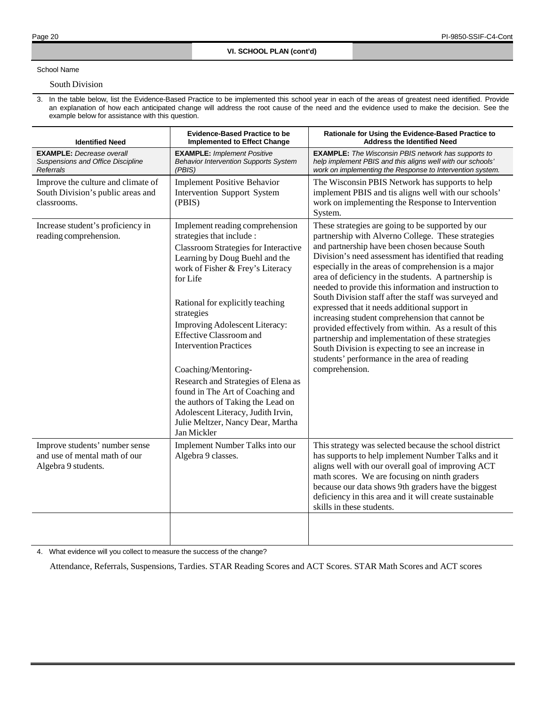## School Name

## South Division

3. In the table below, list the Evidence-Based Practice to be implemented this school year in each of the areas of greatest need identified. Provide an explanation of how each anticipated change will address the root cause of the need and the evidence used to make the decision. See the example below for assistance with this question.

| <b>Evidence-Based Practice to be</b><br><b>Identified Need</b><br><b>Implemented to Effect Change</b> |                                                                                                                                                                                                                                                                                                                                                                                                                                                                                                                                                                                       | Rationale for Using the Evidence-Based Practice to<br><b>Address the Identified Need</b>                                                                                                                                                                                                                                                                                                                                                                                                                                                                                                                                                                                                                                                                                                       |
|-------------------------------------------------------------------------------------------------------|---------------------------------------------------------------------------------------------------------------------------------------------------------------------------------------------------------------------------------------------------------------------------------------------------------------------------------------------------------------------------------------------------------------------------------------------------------------------------------------------------------------------------------------------------------------------------------------|------------------------------------------------------------------------------------------------------------------------------------------------------------------------------------------------------------------------------------------------------------------------------------------------------------------------------------------------------------------------------------------------------------------------------------------------------------------------------------------------------------------------------------------------------------------------------------------------------------------------------------------------------------------------------------------------------------------------------------------------------------------------------------------------|
| <b>EXAMPLE:</b> Decrease overall<br>Suspensions and Office Discipline<br><b>Referrals</b>             | <b>EXAMPLE: Implement Positive</b><br><b>Behavior Intervention Supports System</b><br>(PBIS)                                                                                                                                                                                                                                                                                                                                                                                                                                                                                          | <b>EXAMPLE:</b> The Wisconsin PBIS network has supports to<br>help implement PBIS and this aligns well with our schools'<br>work on implementing the Response to Intervention system.                                                                                                                                                                                                                                                                                                                                                                                                                                                                                                                                                                                                          |
| Improve the culture and climate of<br>South Division's public areas and<br>classrooms.                | <b>Implement Positive Behavior</b><br>Intervention Support System<br>(PBIS)                                                                                                                                                                                                                                                                                                                                                                                                                                                                                                           | The Wisconsin PBIS Network has supports to help<br>implement PBIS and tis aligns well with our schools'<br>work on implementing the Response to Intervention<br>System.                                                                                                                                                                                                                                                                                                                                                                                                                                                                                                                                                                                                                        |
| Increase student's proficiency in<br>reading comprehension.                                           | Implement reading comprehension<br>strategies that include :<br><b>Classroom Strategies for Interactive</b><br>Learning by Doug Buehl and the<br>work of Fisher & Frey's Literacy<br>for Life<br>Rational for explicitly teaching<br>strategies<br>Improving Adolescent Literacy:<br><b>Effective Classroom and</b><br><b>Intervention Practices</b><br>Coaching/Mentoring-<br>Research and Strategies of Elena as<br>found in The Art of Coaching and<br>the authors of Taking the Lead on<br>Adolescent Literacy, Judith Irvin,<br>Julie Meltzer, Nancy Dear, Martha<br>Jan Mickler | These strategies are going to be supported by our<br>partnership with Alverno College. These strategies<br>and partnership have been chosen because South<br>Division's need assessment has identified that reading<br>especially in the areas of comprehension is a major<br>area of deficiency in the students. A partnership is<br>needed to provide this information and instruction to<br>South Division staff after the staff was surveyed and<br>expressed that it needs additional support in<br>increasing student comprehension that cannot be<br>provided effectively from within. As a result of this<br>partnership and implementation of these strategies<br>South Division is expecting to see an increase in<br>students' performance in the area of reading<br>comprehension. |
| Improve students' number sense<br>and use of mental math of our<br>Algebra 9 students.                | Implement Number Talks into our<br>Algebra 9 classes.                                                                                                                                                                                                                                                                                                                                                                                                                                                                                                                                 | This strategy was selected because the school district<br>has supports to help implement Number Talks and it<br>aligns well with our overall goal of improving ACT<br>math scores. We are focusing on ninth graders<br>because our data shows 9th graders have the biggest<br>deficiency in this area and it will create sustainable<br>skills in these students.                                                                                                                                                                                                                                                                                                                                                                                                                              |
|                                                                                                       |                                                                                                                                                                                                                                                                                                                                                                                                                                                                                                                                                                                       |                                                                                                                                                                                                                                                                                                                                                                                                                                                                                                                                                                                                                                                                                                                                                                                                |

4. What evidence will you collect to measure the success of the change?

Attendance, Referrals, Suspensions, Tardies. STAR Reading Scores and ACT Scores. STAR Math Scores and ACT scores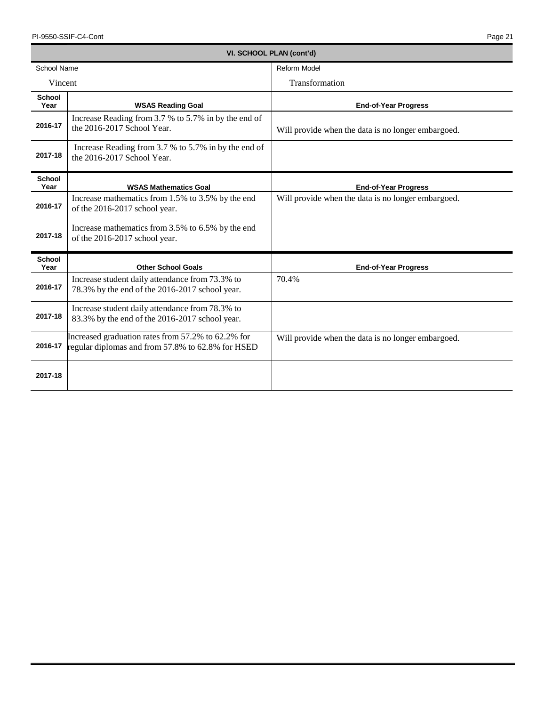| <b>School Name</b>    |                                                                                                         | <b>Reform Model</b>                                |  |  |
|-----------------------|---------------------------------------------------------------------------------------------------------|----------------------------------------------------|--|--|
| Vincent               |                                                                                                         | Transformation                                     |  |  |
| <b>School</b><br>Year | <b>WSAS Reading Goal</b>                                                                                | <b>End-of-Year Progress</b>                        |  |  |
| 2016-17               | Increase Reading from 3.7 % to 5.7% in by the end of<br>the 2016-2017 School Year.                      | Will provide when the data is no longer embargoed. |  |  |
| 2017-18               | Increase Reading from 3.7 % to 5.7% in by the end of<br>the 2016-2017 School Year.                      |                                                    |  |  |
| <b>School</b><br>Year | <b>WSAS Mathematics Goal</b>                                                                            | <b>End-of-Year Progress</b>                        |  |  |
| 2016-17               | Increase mathematics from 1.5% to 3.5% by the end<br>of the 2016-2017 school year.                      | Will provide when the data is no longer embargoed. |  |  |
| 2017-18               | Increase mathematics from 3.5% to 6.5% by the end<br>of the 2016-2017 school year.                      |                                                    |  |  |
| <b>School</b><br>Year | <b>Other School Goals</b>                                                                               | <b>End-of-Year Progress</b>                        |  |  |
| 2016-17               | Increase student daily attendance from 73.3% to<br>78.3% by the end of the 2016-2017 school year.       | 70.4%                                              |  |  |
| 2017-18               | Increase student daily attendance from 78.3% to<br>83.3% by the end of the 2016-2017 school year.       |                                                    |  |  |
| 2016-17               | Increased graduation rates from 57.2% to 62.2% for<br>regular diplomas and from 57.8% to 62.8% for HSED | Will provide when the data is no longer embargoed. |  |  |
| 2017-18               |                                                                                                         |                                                    |  |  |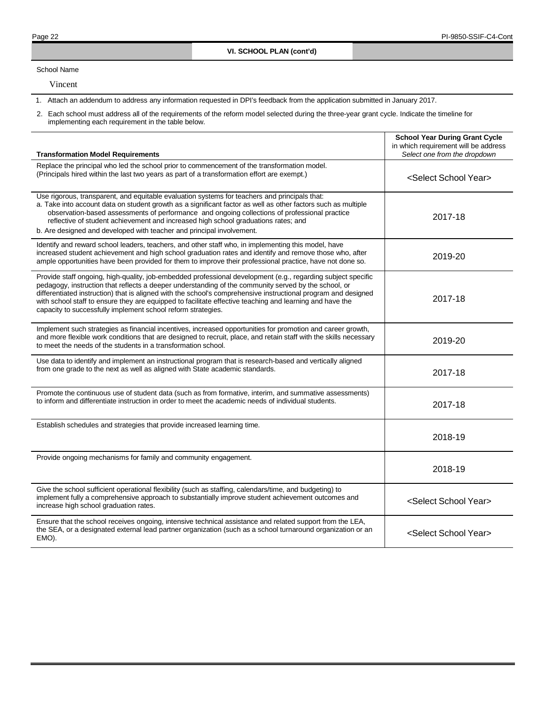School Name

Vincent

1. Attach an addendum to address any information requested in DPI's feedback from the application submitted in January 2017.

| <b>Transformation Model Requirements</b>                                                                                                                                                                                                                                                                                                                                                                                                                                                                           | <b>School Year During Grant Cycle</b><br>in which requirement will be address<br>Select one from the dropdown |
|--------------------------------------------------------------------------------------------------------------------------------------------------------------------------------------------------------------------------------------------------------------------------------------------------------------------------------------------------------------------------------------------------------------------------------------------------------------------------------------------------------------------|---------------------------------------------------------------------------------------------------------------|
| Replace the principal who led the school prior to commencement of the transformation model.<br>(Principals hired within the last two years as part of a transformation effort are exempt.)                                                                                                                                                                                                                                                                                                                         | <select school="" year=""></select>                                                                           |
| Use rigorous, transparent, and equitable evaluation systems for teachers and principals that:<br>a. Take into account data on student growth as a significant factor as well as other factors such as multiple<br>observation-based assessments of performance and ongoing collections of professional practice<br>reflective of student achievement and increased high school graduations rates; and<br>b. Are designed and developed with teacher and principal involvement.                                     | 2017-18                                                                                                       |
| Identify and reward school leaders, teachers, and other staff who, in implementing this model, have<br>increased student achievement and high school graduation rates and identify and remove those who, after<br>ample opportunities have been provided for them to improve their professional practice, have not done so.                                                                                                                                                                                        | 2019-20                                                                                                       |
| Provide staff ongoing, high-quality, job-embedded professional development (e.g., regarding subject specific<br>pedagogy, instruction that reflects a deeper understanding of the community served by the school, or<br>differentiated instruction) that is aligned with the school's comprehensive instructional program and designed<br>with school staff to ensure they are equipped to facilitate effective teaching and learning and have the<br>capacity to successfully implement school reform strategies. | 2017-18                                                                                                       |
| Implement such strategies as financial incentives, increased opportunities for promotion and career growth,<br>and more flexible work conditions that are designed to recruit, place, and retain staff with the skills necessary<br>to meet the needs of the students in a transformation school.                                                                                                                                                                                                                  | 2019-20                                                                                                       |
| Use data to identify and implement an instructional program that is research-based and vertically aligned<br>from one grade to the next as well as aligned with State academic standards.                                                                                                                                                                                                                                                                                                                          | 2017-18                                                                                                       |
| Promote the continuous use of student data (such as from formative, interim, and summative assessments)<br>to inform and differentiate instruction in order to meet the academic needs of individual students.                                                                                                                                                                                                                                                                                                     | 2017-18                                                                                                       |
| Establish schedules and strategies that provide increased learning time.                                                                                                                                                                                                                                                                                                                                                                                                                                           | 2018-19                                                                                                       |
| Provide ongoing mechanisms for family and community engagement.                                                                                                                                                                                                                                                                                                                                                                                                                                                    | 2018-19                                                                                                       |
| Give the school sufficient operational flexibility (such as staffing, calendars/time, and budgeting) to<br>implement fully a comprehensive approach to substantially improve student achievement outcomes and<br>increase high school graduation rates.                                                                                                                                                                                                                                                            | <select school="" year=""></select>                                                                           |
| Ensure that the school receives ongoing, intensive technical assistance and related support from the LEA,<br>the SEA, or a designated external lead partner organization (such as a school turnaround organization or an<br>EMO).                                                                                                                                                                                                                                                                                  | <select school="" year=""></select>                                                                           |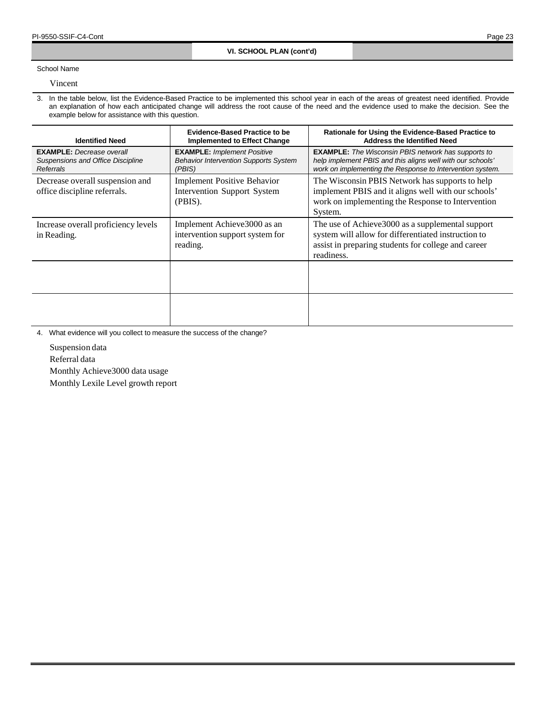School Name

Vincent

3. In the table below, list the Evidence-Based Practice to be implemented this school year in each of the areas of greatest need identified. Provide an explanation of how each anticipated change will address the root cause of the need and the evidence used to make the decision. See the example below for assistance with this question.

| <b>Identified Need</b>                                                                                                                          | <b>Evidence-Based Practice to be</b><br><b>Implemented to Effect Change</b>                  | Rationale for Using the Evidence-Based Practice to<br><b>Address the Identified Need</b>                                                                                              |  |  |
|-------------------------------------------------------------------------------------------------------------------------------------------------|----------------------------------------------------------------------------------------------|---------------------------------------------------------------------------------------------------------------------------------------------------------------------------------------|--|--|
| <b>EXAMPLE:</b> Decrease overall<br>Suspensions and Office Discipline<br>Referrals                                                              | <b>EXAMPLE: Implement Positive</b><br><b>Behavior Intervention Supports System</b><br>(PBIS) | <b>EXAMPLE:</b> The Wisconsin PBIS network has supports to<br>help implement PBIS and this aligns well with our schools'<br>work on implementing the Response to Intervention system. |  |  |
| Decrease overall suspension and<br><b>Implement Positive Behavior</b><br>office discipline referrals.<br>Intervention Support System<br>(PBIS). |                                                                                              | The Wisconsin PBIS Network has supports to help<br>implement PBIS and it aligns well with our schools'<br>work on implementing the Response to Intervention<br>System.                |  |  |
| Increase overall proficiency levels<br>in Reading.                                                                                              | Implement Achieve 3000 as an<br>intervention support system for<br>reading.                  | The use of Achieve 3000 as a supplemental support<br>system will allow for differentiated instruction to<br>assist in preparing students for college and career<br>readiness.         |  |  |
|                                                                                                                                                 |                                                                                              |                                                                                                                                                                                       |  |  |
|                                                                                                                                                 |                                                                                              |                                                                                                                                                                                       |  |  |

4. What evidence will you collect to measure the success of the change?

Suspension data

Referral data

Monthly Achieve3000 data usage

Monthly Lexile Level growth report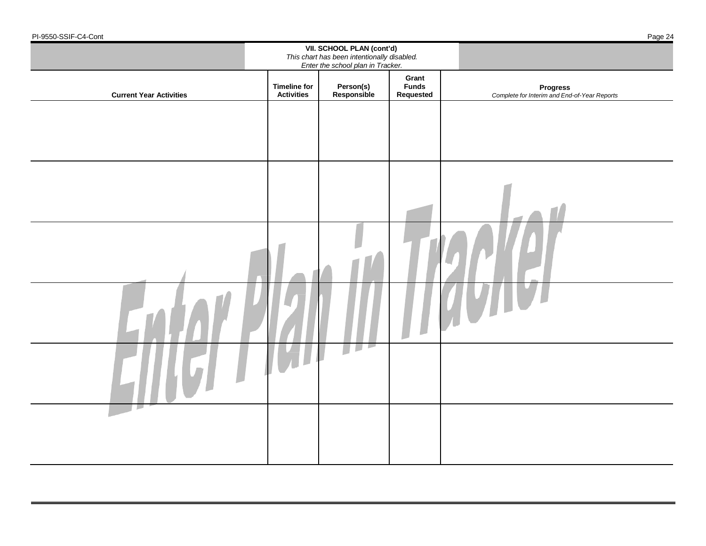|                                | VII. SCHOOL PLAN (cont'd)<br>This chart has been intentionally disabled.<br>Enter the school plan in Tracker. |                                            |                                    |                                                                 |
|--------------------------------|---------------------------------------------------------------------------------------------------------------|--------------------------------------------|------------------------------------|-----------------------------------------------------------------|
| <b>Current Year Activities</b> | <b>Timeline for</b><br><b>Activities</b>                                                                      | Person(s)<br>Responsible                   | Grant<br><b>Funds</b><br>Requested | <b>Progress</b><br>Complete for Interim and End-of-Year Reports |
|                                |                                                                                                               |                                            |                                    |                                                                 |
|                                |                                                                                                               |                                            |                                    |                                                                 |
|                                |                                                                                                               |                                            |                                    |                                                                 |
|                                |                                                                                                               |                                            |                                    |                                                                 |
|                                |                                                                                                               |                                            |                                    |                                                                 |
|                                |                                                                                                               |                                            |                                    |                                                                 |
|                                |                                                                                                               | $\blacksquare$<br>$\overline{\phantom{a}}$ |                                    |                                                                 |
|                                |                                                                                                               |                                            |                                    |                                                                 |

-Cont **Page 24**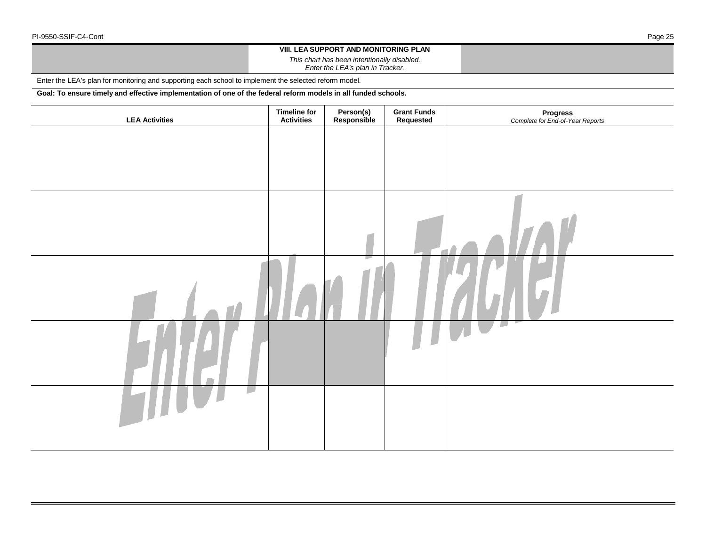## **VIII. LEA SUPPORT AND MONITORING PLAN**

*This chart has been intentionally disabled.*

*Enter the LEA's plan in Tracker.*

Enter the LEA's plan for monitoring and supporting each school to implement the selected reform model.

**Goal: To ensure timely and effective implementation of one of the federal reform models in all funded schools.**

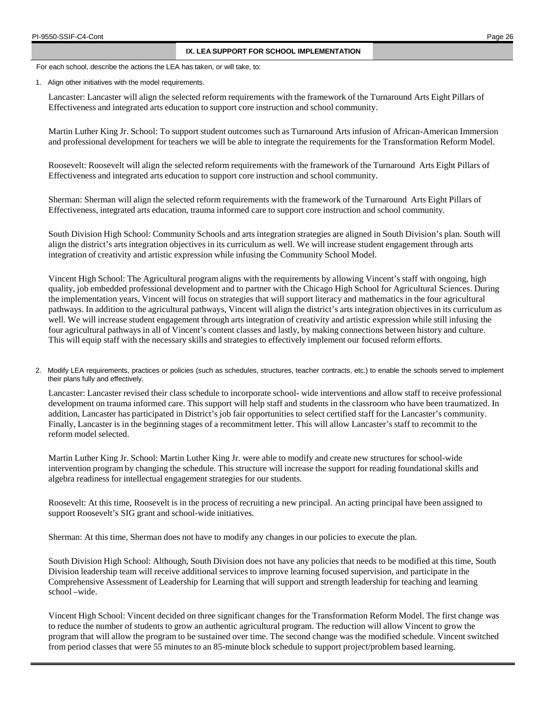### **IX. LEA SUPPORT FOR SCHOOL IMPLEMENTATION**

For each school, describe the actions the LEA has taken, or will take, to:

1. Align other initiatives with the model requirements.

Lancaster: Lancaster will align the selected reform requirements with the framework of the Turnaround Arts Eight Pillars of Effectiveness and integrated arts education to support core instruction and school community.

Martin Luther King Jr. School: To support student outcomes such as Turnaround Arts infusion of African-American Immersion and professional development for teachers we will be able to integrate the requirements for the Transformation Reform Model.

Roosevelt: Roosevelt will align the selected reform requirements with the framework of the Turnaround Arts Eight Pillars of Effectiveness and integrated arts education to support core instruction and school community.

Sherman: Sherman will align the selected reform requirements with the framework of the Turnaround Arts Eight Pillars of Effectiveness, integrated arts education, trauma informed care to support core instruction and school community.

South Division High School: Community Schools and arts integration strategies are aligned in South Division's plan. South will align the district's arts integration objectives in its curriculum as well. We will increase student engagement through arts integration of creativity and artistic expression while infusing the Community School Model.

Vincent High School: The Agricultural program aligns with the requirements by allowing Vincent's staff with ongoing, high quality, job embedded professional development and to partner with the Chicago High School for Agricultural Sciences. During the implementation years, Vincent will focus on strategies that will support literacy and mathematics in the four agricultural pathways. In addition to the agricultural pathways, Vincent will align the district's arts integration objectives in its curriculum as well. We will increase student engagement through arts integration of creativity and artistic expression while still infusing the four agricultural pathways in all of Vincent's content classes and lastly, by making connections between history and culture. This will equip staff with the necessary skills and strategies to effectively implement our focused reform efforts.

2. Modify LEA requirements, practices or policies (such as schedules, structures, teacher contracts, etc.) to enable the schools served to implement their plans fully and effectively.

Lancaster: Lancaster revised their class schedule to incorporate school- wide interventions and allow staff to receive professional development on trauma informed care. This support will help staff and students in the classroom who have been traumatized. In addition, Lancaster has participated in District's job fair opportunities to select certified staff for the Lancaster's community. Finally, Lancaster is in the beginning stages of a recommitment letter. This will allow Lancaster's staff to recommit to the reform model selected.

Martin Luther King Jr. School: Martin Luther King Jr. were able to modify and create new structures for school-wide intervention program by changing the schedule. This structure will increase the support for reading foundational skills and algebra readiness for intellectual engagement strategies for our students.

Roosevelt: At this time, Roosevelt is in the process of recruiting a new principal. An acting principal have been assigned to support Roosevelt's SIG grant and school-wide initiatives.

Sherman: At this time, Sherman does not have to modify any changes in our policies to execute the plan.

South Division High School: Although, South Division does not have any policies that needs to be modified at this time, South Division leadership team will receive additional services to improve learning focused supervision, and participate in the Comprehensive Assessment of Leadership for Learning that will support and strength leadership for teaching and learning school –wide.

Vincent High School: Vincent decided on three significant changes for the Transformation Reform Model. The first change was to reduce the number of students to grow an authentic agricultural program. The reduction will allow Vincent to grow the program that will allow the program to be sustained over time. The second change was the modified schedule. Vincent switched from period classes that were 55 minutes to an 85-minute block schedule to support project/problem based learning.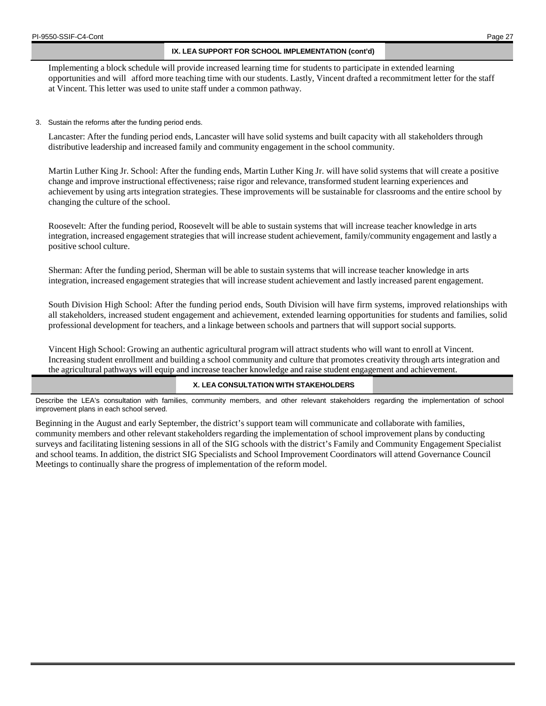## **IX. LEA SUPPORT FOR SCHOOL IMPLEMENTATION (cont'd)**

Implementing a block schedule will provide increased learning time for students to participate in extended learning opportunities and will afford more teaching time with our students. Lastly, Vincent drafted a recommitment letter for the staff at Vincent. This letter was used to unite staff under a common pathway.

3. Sustain the reforms after the funding period ends.

Lancaster: After the funding period ends, Lancaster will have solid systems and built capacity with all stakeholders through distributive leadership and increased family and community engagement in the school community.

Martin Luther King Jr. School: After the funding ends, Martin Luther King Jr. will have solid systems that will create a positive change and improve instructional effectiveness; raise rigor and relevance, transformed student learning experiences and achievement by using arts integration strategies. These improvements will be sustainable for classrooms and the entire school by changing the culture of the school.

Roosevelt: After the funding period, Roosevelt will be able to sustain systems that will increase teacher knowledge in arts integration, increased engagement strategies that will increase student achievement, family/community engagement and lastly a positive school culture.

Sherman: After the funding period, Sherman will be able to sustain systems that will increase teacher knowledge in arts integration, increased engagement strategies that will increase student achievement and lastly increased parent engagement.

South Division High School: After the funding period ends, South Division will have firm systems, improved relationships with all stakeholders, increased student engagement and achievement, extended learning opportunities for students and families, solid professional development for teachers, and a linkage between schools and partners that will support social supports.

Vincent High School: Growing an authentic agricultural program will attract students who will want to enroll at Vincent. Increasing student enrollment and building a school community and culture that promotes creativity through arts integration and the agricultural pathways will equip and increase teacher knowledge and raise student engagement and achievement.

## **X. LEA CONSULTATION WITH STAKEHOLDERS**

Describe the LEA's consultation with families, community members, and other relevant stakeholders regarding the implementation of school improvement plans in each school served.

Beginning in the August and early September, the district's support team will communicate and collaborate with families, community members and other relevant stakeholders regarding the implementation of school improvement plans by conducting surveys and facilitating listening sessions in all of the SIG schools with the district's Family and Community Engagement Specialist and school teams. In addition, the district SIG Specialists and School Improvement Coordinators will attend Governance Council Meetings to continually share the progress of implementation of the reform model.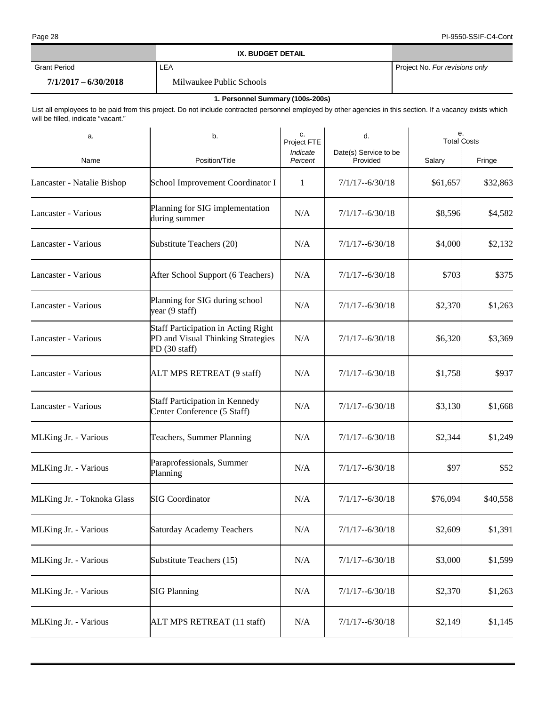|                        | IX. BUDGET DETAIL        |                                |
|------------------------|--------------------------|--------------------------------|
| Grant Period           | -EA                      | Project No. For revisions only |
| $7/1/2017 - 6/30/2018$ | Milwaukee Public Schools |                                |

## **1. Personnel Summary (100s-200s)**

List all employees to be paid from this project. Do not include contracted personnel employed by other agencies in this section. If a vacancy exists which will be filled, indicate "vacant."

| a.                         | b.                                                                                               | c.<br>Project FTE   | d.                                | е.<br><b>Total Costs</b> |          |
|----------------------------|--------------------------------------------------------------------------------------------------|---------------------|-----------------------------------|--------------------------|----------|
| Name                       | Position/Title                                                                                   | Indicate<br>Percent | Date(s) Service to be<br>Provided | Salary                   | Fringe   |
| Lancaster - Natalie Bishop | School Improvement Coordinator I                                                                 | 1                   | $7/1/17 - 6/30/18$                | \$61,657                 | \$32,863 |
| Lancaster - Various        | Planning for SIG implementation<br>during summer                                                 | N/A                 | $7/1/17 - 6/30/18$                | \$8,596                  | \$4,582  |
| Lancaster - Various        | Substitute Teachers (20)                                                                         | N/A                 | $7/1/17 - 6/30/18$                | \$4,000                  | \$2,132  |
| Lancaster - Various        | After School Support (6 Teachers)                                                                | N/A                 | $7/1/17 - 6/30/18$                | \$703                    | \$375    |
| Lancaster - Various        | Planning for SIG during school<br>year (9 staff)                                                 | N/A                 | $7/1/17 - 6/30/18$                | \$2,370                  | \$1,263  |
| Lancaster - Various        | <b>Staff Participation in Acting Right</b><br>PD and Visual Thinking Strategies<br>PD (30 staff) | N/A                 | $7/1/17 - 6/30/18$                | \$6,320                  | \$3,369  |
| Lancaster - Various        | ALT MPS RETREAT (9 staff)                                                                        | N/A                 | $7/1/17 - 6/30/18$                | \$1,758                  | \$937    |
| Lancaster - Various        | <b>Staff Participation in Kennedy</b><br>Center Conference (5 Staff)                             | N/A                 | $7/1/17 - 6/30/18$                | \$3,130                  | \$1,668  |
| MLKing Jr. - Various       | Teachers, Summer Planning                                                                        | N/A                 | $7/1/17 - 6/30/18$                | \$2,344                  | \$1,249  |
| MLKing Jr. - Various       | Paraprofessionals, Summer<br>Planning                                                            | N/A                 | $7/1/17 - 6/30/18$                | \$97                     | \$52     |
| MLKing Jr. - Toknoka Glass | <b>SIG Coordinator</b>                                                                           | N/A                 | $7/1/17 - 6/30/18$                | \$76,094                 | \$40,558 |
| MLKing Jr. - Various       | <b>Saturday Academy Teachers</b>                                                                 | N/A                 | $7/1/17 - 6/30/18$                | \$2,609                  | \$1,391  |
| MLKing Jr. - Various       | Substitute Teachers (15)                                                                         | N/A                 | $7/1/17 - 6/30/18$                | \$3,000                  | \$1,599  |
| MLKing Jr. - Various       | <b>SIG Planning</b>                                                                              | N/A                 | $7/1/17 - 6/30/18$                | \$2,370                  | \$1,263  |
| MLKing Jr. - Various       | ALT MPS RETREAT (11 staff)                                                                       | N/A                 | $7/1/17 - 6/30/18$                | \$2,149                  | \$1,145  |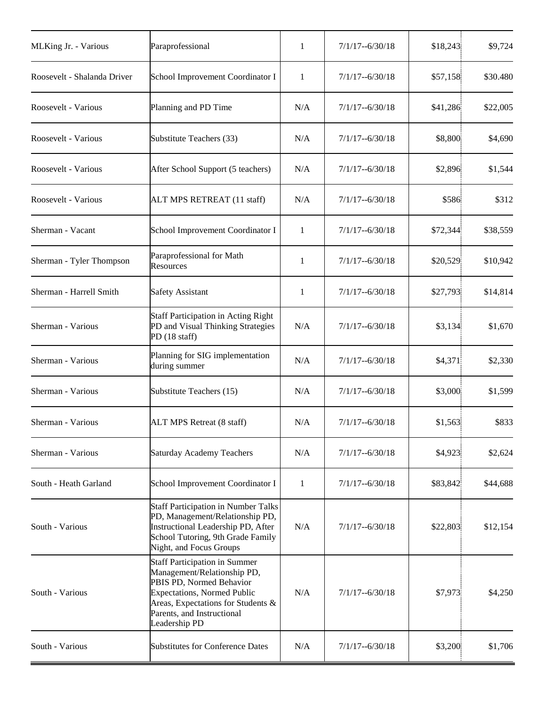| MLKing Jr. - Various                                                                                                                                                                                                                          | Paraprofessional                                 | 1            | $7/1/17 - 6/30/18$ | \$18,243  | \$9,724  |
|-----------------------------------------------------------------------------------------------------------------------------------------------------------------------------------------------------------------------------------------------|--------------------------------------------------|--------------|--------------------|-----------|----------|
| Roosevelt - Shalanda Driver                                                                                                                                                                                                                   | School Improvement Coordinator I                 | 1            | $7/1/17 - 6/30/18$ | \$57,158  | \$30.480 |
| Roosevelt - Various                                                                                                                                                                                                                           | Planning and PD Time                             | N/A          | $7/1/17 - 6/30/18$ | \$41,286  | \$22,005 |
| Roosevelt - Various                                                                                                                                                                                                                           | Substitute Teachers (33)                         | N/A          | $7/1/17 - 6/30/18$ | \$8,800   | \$4,690  |
| Roosevelt - Various                                                                                                                                                                                                                           | After School Support (5 teachers)                | N/A          | $7/1/17 - 6/30/18$ | \$2,896   | \$1,544  |
| Roosevelt - Various                                                                                                                                                                                                                           | ALT MPS RETREAT (11 staff)                       | N/A          | $7/1/17 - 6/30/18$ | \$586     | \$312    |
| Sherman - Vacant                                                                                                                                                                                                                              | School Improvement Coordinator I                 | 1            | $7/1/17 - 6/30/18$ | \$72,344  | \$38,559 |
| Sherman - Tyler Thompson                                                                                                                                                                                                                      | Paraprofessional for Math<br>Resources           | 1            | $7/1/17 - 6/30/18$ | \$20,529  | \$10,942 |
| Sherman - Harrell Smith                                                                                                                                                                                                                       | <b>Safety Assistant</b>                          | 1            | $7/1/17 - 6/30/18$ | \$27,793] | \$14,814 |
| <b>Staff Participation in Acting Right</b><br>PD and Visual Thinking Strategies<br>Sherman - Various<br>PD (18 staff)                                                                                                                         |                                                  | N/A          | $7/1/17 - 6/30/18$ | \$3,134   | \$1,670  |
| Sherman - Various                                                                                                                                                                                                                             | Planning for SIG implementation<br>during summer | N/A          | $7/1/17 - 6/30/18$ | \$4,371   | \$2,330  |
| Sherman - Various<br>Substitute Teachers (15)                                                                                                                                                                                                 |                                                  | N/A          | $7/1/17 - 6/30/18$ | \$3,000   | \$1,599  |
| Sherman - Various<br>ALT MPS Retreat (8 staff)                                                                                                                                                                                                |                                                  | N/A          | $7/1/17 - 6/30/18$ | \$1,563   | \$833    |
| Sherman - Various                                                                                                                                                                                                                             | <b>Saturday Academy Teachers</b>                 | N/A          | $7/1/17 - 6/30/18$ | \$4,923   | \$2,624  |
| South - Heath Garland                                                                                                                                                                                                                         | School Improvement Coordinator I                 | $\mathbf{1}$ | $7/1/17 - 6/30/18$ | \$83,842  | \$44,688 |
| <b>Staff Participation in Number Talks</b><br>PD, Management/Relationship PD,<br>Instructional Leadership PD, After<br>South - Various<br>School Tutoring, 9th Grade Family<br>Night, and Focus Groups                                        |                                                  | N/A          | $7/1/17 - 6/30/18$ | \$22,803  | \$12,154 |
| <b>Staff Participation in Summer</b><br>Management/Relationship PD,<br>PBIS PD, Normed Behavior<br>South - Various<br><b>Expectations, Normed Public</b><br>Areas, Expectations for Students &<br>Parents, and Instructional<br>Leadership PD |                                                  | N/A          | $7/1/17 - 6/30/18$ | \$7,973   | \$4,250  |
| South - Various                                                                                                                                                                                                                               | <b>Substitutes for Conference Dates</b>          | N/A          | $7/1/17 - 6/30/18$ | \$3,200   | \$1,706  |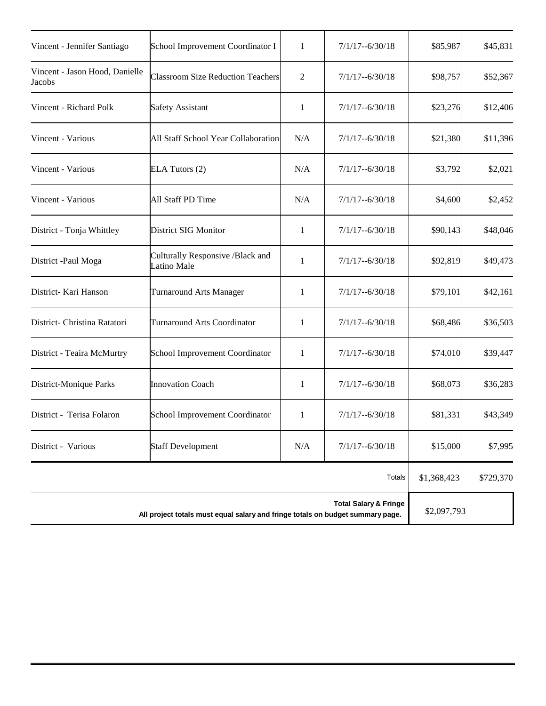| Vincent - Jennifer Santiago                                                    | School Improvement Coordinator I                | 1            | $7/1/17 - 6/30/18$ | \$85,987    | \$45,831  |
|--------------------------------------------------------------------------------|-------------------------------------------------|--------------|--------------------|-------------|-----------|
| Vincent - Jason Hood, Danielle<br>Jacobs                                       | <b>Classroom Size Reduction Teachers</b>        | 2            | $7/1/17 - 6/30/18$ | \$98,757    | \$52,367  |
| Vincent - Richard Polk                                                         | <b>Safety Assistant</b>                         | 1            | $7/1/17 - 6/30/18$ | \$23,276    | \$12,406  |
| Vincent - Various                                                              | All Staff School Year Collaboration             | N/A          | $7/1/17 - 6/30/18$ | \$21,380    | \$11,396  |
| Vincent - Various                                                              | ELA Tutors (2)                                  | N/A          | $7/1/17 - 6/30/18$ | \$3,792     | \$2,021   |
| Vincent - Various                                                              | All Staff PD Time                               | N/A          | $7/1/17 - 6/30/18$ | \$4,600     | \$2,452   |
| District - Tonja Whittley                                                      | District SIG Monitor                            | 1            | $7/1/17 - 6/30/18$ | \$90,143    | \$48,046  |
| District -Paul Moga                                                            | Culturally Responsive /Black and<br>Latino Male | 1            | $7/1/17 - 6/30/18$ | \$92,819    | \$49,473  |
| District- Kari Hanson                                                          | <b>Turnaround Arts Manager</b>                  | 1            | $7/1/17 - 6/30/18$ | \$79,101    | \$42,161  |
| District- Christina Ratatori                                                   | <b>Turnaround Arts Coordinator</b>              | 1            | $7/1/17 - 6/30/18$ | \$68,486    | \$36,503  |
| District - Teaira McMurtry                                                     | School Improvement Coordinator                  | 1            | $7/1/17 - 6/30/18$ | \$74,010    | \$39,447  |
| District-Monique Parks                                                         | <b>Innovation Coach</b>                         | 1            | $7/1/17 - 6/30/18$ | \$68,073    | \$36,283  |
| District - Terisa Folaron                                                      | School Improvement Coordinator                  | $\mathbf{1}$ | $7/1/17 - 6/30/18$ | \$81,331    | \$43,349  |
| District - Various                                                             | <b>Staff Development</b>                        | N/A          | $7/1/17 - 6/30/18$ | \$15,000    | \$7,995   |
|                                                                                |                                                 |              | <b>Totals</b>      | \$1,368,423 | \$729,370 |
| All project totals must equal salary and fringe totals on budget summary page. | \$2,097,793                                     |              |                    |             |           |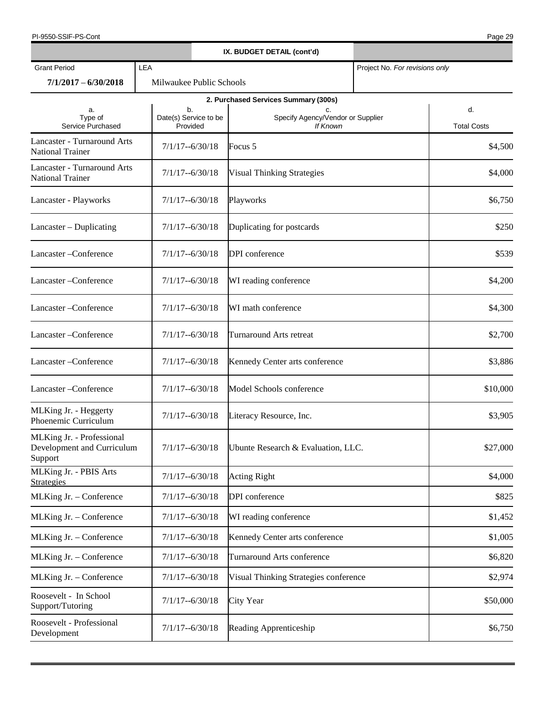| PI-9550-SSIF-PS-Cont                                               |                                   |                    |                                                     |                                | Page 29                  |
|--------------------------------------------------------------------|-----------------------------------|--------------------|-----------------------------------------------------|--------------------------------|--------------------------|
|                                                                    |                                   |                    | IX. BUDGET DETAIL (cont'd)                          |                                |                          |
| <b>Grant Period</b>                                                | LEA                               |                    |                                                     | Project No. For revisions only |                          |
| $7/1/2017 - 6/30/2018$                                             | Milwaukee Public Schools          |                    |                                                     |                                |                          |
|                                                                    |                                   |                    | 2. Purchased Services Summary (300s)                |                                |                          |
| a.<br>Type of<br>Service Purchased                                 | Date(s) Service to be<br>Provided | b.                 | c.<br>Specify Agency/Vendor or Supplier<br>If Known |                                | d.<br><b>Total Costs</b> |
| Lancaster - Turnaround Arts<br><b>National Trainer</b>             | $7/1/17 - 6/30/18$                |                    | Focus 5                                             |                                | \$4,500                  |
| Lancaster - Turnaround Arts<br><b>National Trainer</b>             | $7/1/17 - 6/30/18$                |                    | <b>Visual Thinking Strategies</b>                   |                                | \$4,000                  |
| Lancaster - Playworks                                              | $7/1/17 - 6/30/18$                |                    | Playworks                                           |                                | \$6,750                  |
| Lancaster – Duplicating                                            | $7/1/17 - 6/30/18$                |                    | Duplicating for postcards                           |                                | \$250                    |
| Lancaster-Conference                                               | $7/1/17 - 6/30/18$                |                    | DPI conference                                      |                                | \$539                    |
| Lancaster-Conference                                               | $7/1/17 - 6/30/18$                |                    | WI reading conference                               |                                | \$4,200                  |
| Lancaster - Conference                                             | $7/1/17 - 6/30/18$                |                    | WI math conference                                  |                                | \$4,300                  |
| Lancaster - Conference                                             | $7/1/17 - 6/30/18$                |                    | <b>Turnaround Arts retreat</b>                      |                                | \$2,700                  |
| Lancaster - Conference                                             | $7/1/17 - 6/30/18$                |                    | Kennedy Center arts conference                      |                                | \$3,886                  |
| Lancaster - Conference                                             | $7/1/17 - 6/30/18$                |                    | Model Schools conference                            |                                | \$10,000                 |
| MLKing Jr. - Heggerty<br>Phoenemic Curriculum                      | $7/1/17 - 6/30/18$                |                    | Literacy Resource, Inc.                             |                                | \$3,905                  |
| MLKing Jr. - Professional<br>Development and Curriculum<br>Support |                                   | $7/1/17 - 6/30/18$ | Ubunte Research & Evaluation, LLC.                  |                                | \$27,000                 |
| MLKing Jr. - PBIS Arts<br><b>Strategies</b>                        | $7/1/17 - 6/30/18$                |                    | <b>Acting Right</b>                                 |                                | \$4,000                  |
| MLKing Jr. - Conference                                            |                                   | $7/1/17 - 6/30/18$ | DPI conference                                      |                                | \$825                    |
| MLKing Jr. - Conference                                            | $7/1/17 - 6/30/18$                |                    | WI reading conference                               |                                | \$1,452                  |
| MLKing Jr. - Conference                                            | $7/1/17 - 6/30/18$                |                    | Kennedy Center arts conference                      |                                | \$1,005                  |
| MLKing Jr. - Conference                                            | $7/1/17 - 6/30/18$                |                    | Turnaround Arts conference                          |                                | \$6,820                  |
| MLKing Jr. - Conference                                            | $7/1/17 - 6/30/18$                |                    | Visual Thinking Strategies conference               |                                | \$2,974                  |
| Roosevelt - In School<br>Support/Tutoring                          | $7/1/17 - 6/30/18$                |                    | City Year                                           |                                | \$50,000                 |
| Roosevelt - Professional<br>Development                            | $7/1/17 - 6/30/18$                |                    | <b>Reading Apprenticeship</b>                       |                                | \$6,750                  |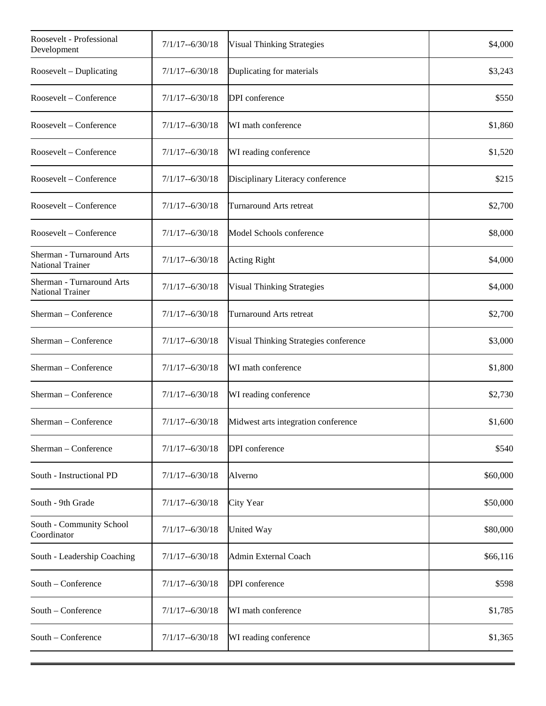| Roosevelt - Professional<br>Development              | $7/1/17 - 6/30/18$ | <b>Visual Thinking Strategies</b>     | \$4,000  |
|------------------------------------------------------|--------------------|---------------------------------------|----------|
| Roosevelt – Duplicating                              | $7/1/17 - 6/30/18$ | Duplicating for materials             | \$3,243  |
| Roosevelt – Conference                               | $7/1/17 - 6/30/18$ | DPI conference                        | \$550    |
| Roosevelt - Conference                               | $7/1/17 - 6/30/18$ | WI math conference                    | \$1,860  |
| Roosevelt - Conference                               | $7/1/17 - 6/30/18$ | WI reading conference                 | \$1,520  |
| Roosevelt - Conference                               | $7/1/17 - 6/30/18$ | Disciplinary Literacy conference      | \$215    |
| Roosevelt - Conference                               | $7/1/17 - 6/30/18$ | Turnaround Arts retreat               | \$2,700  |
| Roosevelt - Conference                               | $7/1/17 - 6/30/18$ | Model Schools conference              | \$8,000  |
| Sherman - Turnaround Arts<br>National Trainer        | $7/1/17 - 6/30/18$ | <b>Acting Right</b>                   | \$4,000  |
| Sherman - Turnaround Arts<br><b>National Trainer</b> | $7/1/17 - 6/30/18$ | <b>Visual Thinking Strategies</b>     | \$4,000  |
| Sherman - Conference                                 | $7/1/17 - 6/30/18$ | <b>Turnaround Arts retreat</b>        | \$2,700  |
| Sherman - Conference                                 | $7/1/17 - 6/30/18$ | Visual Thinking Strategies conference | \$3,000  |
| Sherman - Conference                                 | $7/1/17 - 6/30/18$ | WI math conference                    | \$1,800  |
| Sherman - Conference                                 | $7/1/17 - 6/30/18$ | WI reading conference                 | \$2,730  |
| Sherman - Conference                                 | $7/1/17 - 6/30/18$ | Midwest arts integration conference   | \$1,600  |
| Sherman - Conference                                 | $7/1/17 - 6/30/18$ | DPI conference                        | \$540    |
| South - Instructional PD                             | $7/1/17 - 6/30/18$ | Alverno                               | \$60,000 |
| South - 9th Grade                                    | $7/1/17 - 6/30/18$ | City Year                             | \$50,000 |
| South - Community School<br>Coordinator              | $7/1/17 - 6/30/18$ | United Way                            | \$80,000 |
| South - Leadership Coaching                          | $7/1/17 - 6/30/18$ | Admin External Coach                  | \$66,116 |
| South - Conference                                   | $7/1/17 - 6/30/18$ | DPI conference                        | \$598    |
| South - Conference                                   | $7/1/17 - 6/30/18$ | WI math conference                    | \$1,785  |
| South – Conference                                   | $7/1/17 - 6/30/18$ | WI reading conference                 | \$1,365  |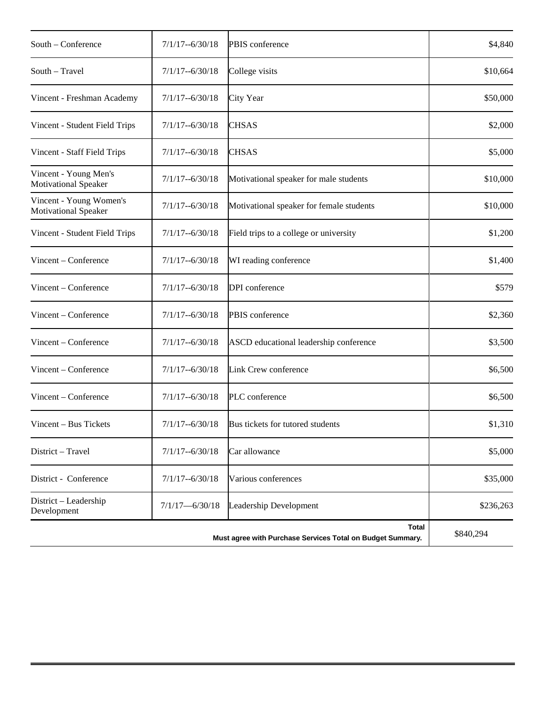| South – Conference                                     | $7/1/17 - 6/30/18$ | PBIS conference                                                            | \$4,840   |
|--------------------------------------------------------|--------------------|----------------------------------------------------------------------------|-----------|
| South - Travel                                         | $7/1/17 - 6/30/18$ | College visits                                                             | \$10,664  |
| Vincent - Freshman Academy                             | 7/1/17--6/30/18    | City Year                                                                  | \$50,000  |
| Vincent - Student Field Trips                          | $7/1/17 - 6/30/18$ | <b>CHSAS</b>                                                               | \$2,000   |
| Vincent - Staff Field Trips                            | $7/1/17 - 6/30/18$ | <b>CHSAS</b>                                                               | \$5,000   |
| Vincent - Young Men's<br><b>Motivational Speaker</b>   | 7/1/17--6/30/18    | Motivational speaker for male students                                     | \$10,000  |
| Vincent - Young Women's<br><b>Motivational Speaker</b> | $7/1/17 - 6/30/18$ | Motivational speaker for female students                                   | \$10,000  |
| Vincent - Student Field Trips                          | $7/1/17 - 6/30/18$ | Field trips to a college or university                                     | \$1,200   |
| Vincent - Conference                                   | $7/1/17 - 6/30/18$ | WI reading conference                                                      | \$1,400   |
| Vincent - Conference                                   | $7/1/17 - 6/30/18$ | DPI conference                                                             | \$579     |
| Vincent - Conference                                   | $7/1/17 - 6/30/18$ | PBIS conference                                                            | \$2,360   |
| Vincent – Conference                                   | $7/1/17 - 6/30/18$ | ASCD educational leadership conference                                     | \$3,500   |
| Vincent - Conference                                   | $7/1/17 - 6/30/18$ | Link Crew conference                                                       | \$6,500   |
| Vincent - Conference                                   | $7/1/17 - 6/30/18$ | PLC conference                                                             | \$6,500   |
| Vincent - Bus Tickets                                  | $7/1/17 - 6/30/18$ | Bus tickets for tutored students                                           | \$1,310   |
| District - Travel                                      | $7/1/17 - 6/30/18$ | Car allowance                                                              | \$5,000   |
| District - Conference                                  | $7/1/17 - 6/30/18$ | Various conferences                                                        | \$35,000  |
| District - Leadership<br>Development                   | $7/1/17 - 6/30/18$ | Leadership Development                                                     | \$236,263 |
|                                                        |                    | <b>Total</b><br>Must agree with Purchase Services Total on Budget Summary. | \$840,294 |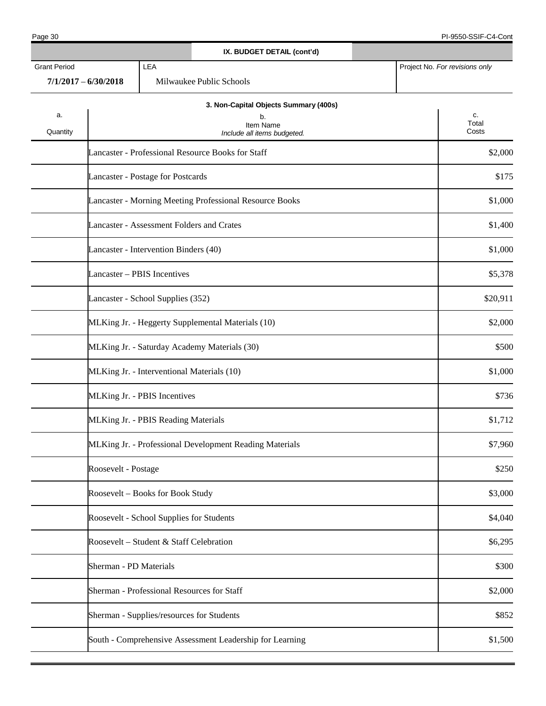|                     |                                          |     |                                                          | IX. BUDGET DETAIL (cont'd)                                                              |  |                                |
|---------------------|------------------------------------------|-----|----------------------------------------------------------|-----------------------------------------------------------------------------------------|--|--------------------------------|
| <b>Grant Period</b> | $7/1/2017 - 6/30/2018$                   | LEA | Milwaukee Public Schools                                 |                                                                                         |  | Project No. For revisions only |
| a.<br>Quantity      |                                          |     |                                                          | 3. Non-Capital Objects Summary (400s)<br>b.<br>Item Name<br>Include all items budgeted. |  | c.<br>Total<br>Costs           |
|                     |                                          |     | Lancaster - Professional Resource Books for Staff        |                                                                                         |  | \$2,000                        |
|                     | Lancaster - Postage for Postcards        |     |                                                          |                                                                                         |  | \$175                          |
|                     |                                          |     | Lancaster - Morning Meeting Professional Resource Books  |                                                                                         |  | \$1,000                        |
|                     |                                          |     | Lancaster - Assessment Folders and Crates                |                                                                                         |  | \$1,400                        |
|                     | Lancaster - Intervention Binders (40)    |     |                                                          |                                                                                         |  | \$1,000                        |
|                     | Lancaster - PBIS Incentives              |     |                                                          |                                                                                         |  | \$5,378                        |
|                     | Lancaster - School Supplies (352)        |     |                                                          |                                                                                         |  | \$20,911                       |
|                     |                                          |     | MLKing Jr. - Heggerty Supplemental Materials (10)        |                                                                                         |  | \$2,000                        |
|                     |                                          |     | MLKing Jr. - Saturday Academy Materials (30)             |                                                                                         |  | \$500                          |
|                     |                                          |     | MLKing Jr. - Interventional Materials (10)               |                                                                                         |  | \$1,000                        |
|                     | MLKing Jr. - PBIS Incentives             |     |                                                          |                                                                                         |  | \$736                          |
|                     | MLKing Jr. - PBIS Reading Materials      |     |                                                          |                                                                                         |  | \$1,712                        |
|                     |                                          |     | MLKing Jr. - Professional Development Reading Materials  |                                                                                         |  | \$7,960                        |
|                     | Roosevelt - Postage                      |     |                                                          |                                                                                         |  | \$250                          |
|                     | Roosevelt - Books for Book Study         |     |                                                          |                                                                                         |  | \$3,000                        |
|                     | Roosevelt - School Supplies for Students |     |                                                          |                                                                                         |  | \$4,040                        |
|                     | Roosevelt - Student & Staff Celebration  |     |                                                          |                                                                                         |  | \$6,295                        |
|                     | Sherman - PD Materials                   |     |                                                          |                                                                                         |  | \$300                          |
|                     |                                          |     | Sherman - Professional Resources for Staff               |                                                                                         |  | \$2,000                        |
|                     |                                          |     | Sherman - Supplies/resources for Students                |                                                                                         |  | \$852                          |
|                     |                                          |     | South - Comprehensive Assessment Leadership for Learning |                                                                                         |  | \$1,500                        |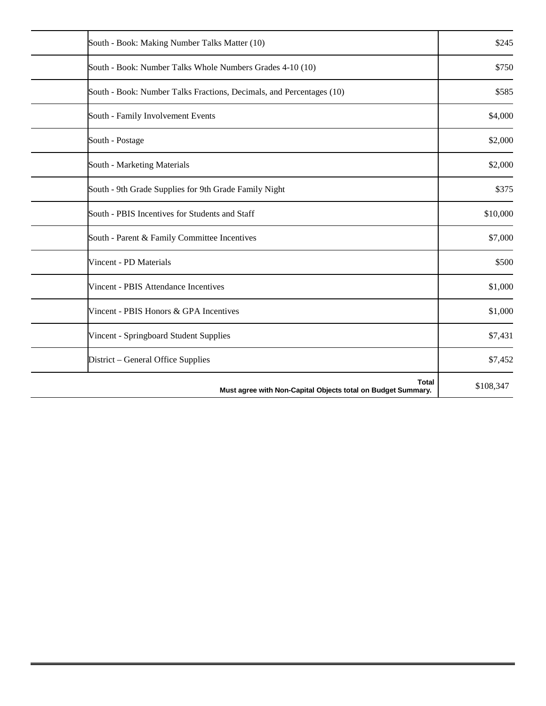| South - Book: Making Number Talks Matter (10)                                | \$245     |
|------------------------------------------------------------------------------|-----------|
| South - Book: Number Talks Whole Numbers Grades 4-10 (10)                    | \$750     |
| South - Book: Number Talks Fractions, Decimals, and Percentages (10)         | \$585     |
| South - Family Involvement Events                                            | \$4,000   |
| South - Postage                                                              | \$2,000   |
| South - Marketing Materials                                                  | \$2,000   |
| South - 9th Grade Supplies for 9th Grade Family Night                        | \$375     |
| South - PBIS Incentives for Students and Staff                               | \$10,000  |
| South - Parent & Family Committee Incentives                                 | \$7,000   |
| Vincent - PD Materials                                                       | \$500     |
| Vincent - PBIS Attendance Incentives                                         | \$1,000   |
| Vincent - PBIS Honors & GPA Incentives                                       | \$1,000   |
| Vincent - Springboard Student Supplies                                       | \$7,431   |
| District - General Office Supplies                                           | \$7,452   |
| <b>Total</b><br>Must agree with Non-Capital Objects total on Budget Summary. | \$108,347 |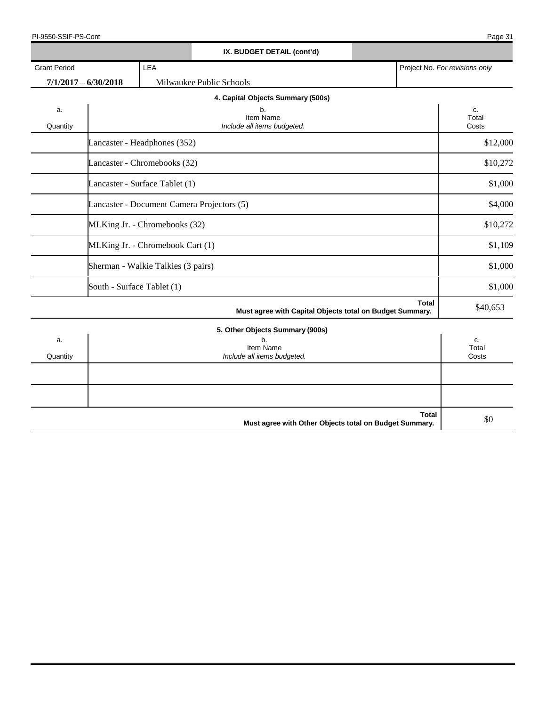| PI-9550-SSIF-PS-Cont | 24<br>Page 3 |
|----------------------|--------------|
|----------------------|--------------|

|                     |                                    |     | IX. BUDGET DETAIL (cont'd)                               |              |                                |
|---------------------|------------------------------------|-----|----------------------------------------------------------|--------------|--------------------------------|
| <b>Grant Period</b> |                                    | LEA |                                                          |              | Project No. For revisions only |
|                     | $7/1/2017 - 6/30/2018$             |     | Milwaukee Public Schools                                 |              |                                |
|                     |                                    |     | 4. Capital Objects Summary (500s)                        |              |                                |
| a.<br>Quantity      |                                    |     | b.<br>Item Name<br>Include all items budgeted.           |              | c.<br>Total<br>Costs           |
|                     | Lancaster - Headphones (352)       |     |                                                          |              | \$12,000                       |
|                     | Lancaster - Chromebooks (32)       |     |                                                          |              | \$10,272                       |
|                     | Lancaster - Surface Tablet (1)     |     |                                                          |              | \$1,000                        |
|                     |                                    |     | Lancaster - Document Camera Projectors (5)               |              | \$4,000                        |
|                     | MLKing Jr. - Chromebooks (32)      |     |                                                          |              | \$10,272                       |
|                     | MLKing Jr. - Chromebook Cart (1)   |     |                                                          |              | \$1,109                        |
|                     | Sherman - Walkie Talkies (3 pairs) |     |                                                          |              | \$1,000                        |
|                     | South - Surface Tablet (1)         |     |                                                          |              | \$1,000                        |
|                     |                                    |     | Must agree with Capital Objects total on Budget Summary. | <b>Total</b> | \$40,653                       |
|                     |                                    |     | 5. Other Objects Summary (900s)                          |              |                                |
| a.<br>Quantity      |                                    |     | b.<br>Item Name<br>Include all items budgeted.           |              | c.<br>Total<br>Costs           |
|                     |                                    |     |                                                          |              |                                |
|                     |                                    |     |                                                          |              |                                |
|                     |                                    |     | Must agree with Other Objects total on Budget Summary.   | <b>Total</b> | \$0                            |